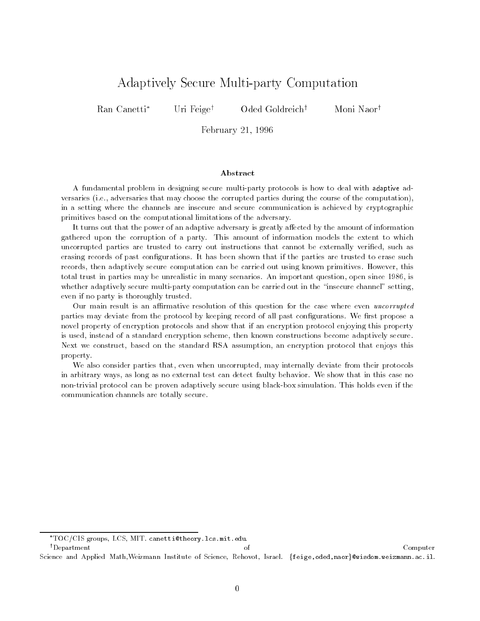# Adaptively Secure Multi-party Computation

Ran Canetti\* Uri Feige<sup>†</sup> Oded Goldreich<sup>†</sup> Moni Naor<sup>†</sup>

February 21, 1996

A fundamental problem in designing secure multi-party protocols is how to deal with adaptive adversaries (i.e., adversaries that may choose the corrupted parties during the course of the computation), in a setting where the channels are insecure and secure communication is achieved by cryptographic primitives based on the computational limitations of the adversary.

It turns out that the power of an adaptive adversary is greatly affected by the amount of information gathered upon the corruption of a party. This amount of information models the extent to which uncorrupted parties are trusted to carry out instructions that cannot be externally veried, such as erasing records of past congurations. It has been shown that if the parties are trusted to erase such records, then adaptively secure computation can be carried out using known primitives. However, this total trust in parties may be unrealistic in many scenarios. An important question, open since 1986, is whether adaptively secure multi-party computation can be carried out in the "insecure channel" setting, even if no party is thoroughly trusted.

Our main result is an affirmative resolution of this question for the case where even *uncorrupted* parties may deviate from the protocol by keeping record of all past configurations. We first propose a novel property of encryption protocols and show that if an encryption protocol enjoying this property is used, instead of a standard encryption scheme, then known constructions become adaptively secure. Next we construct, based on the standard RSA assumption, an encryption protocol that enjoys this property.

We also consider parties that, even when uncorrupted, may internally deviate from their protocols in arbitrary ways, as long as no external test can detect faulty behavior. We show that in this case no non-trivial protocol can be proven adaptively secure using black-box simulation. This holds even if the communication channels are totally secure.

TOC/CIS groups, LCS, MIT. canetti@theory.lcs.mit.edu.

 $\begin{array}{ccc} \uparrow \text{Department} \end{array}$ Science and Applied Math, Weizmann Institute of Science, Rehovot, Israel. {feige, oded, naor}@wisdom.weizmann.ac.il.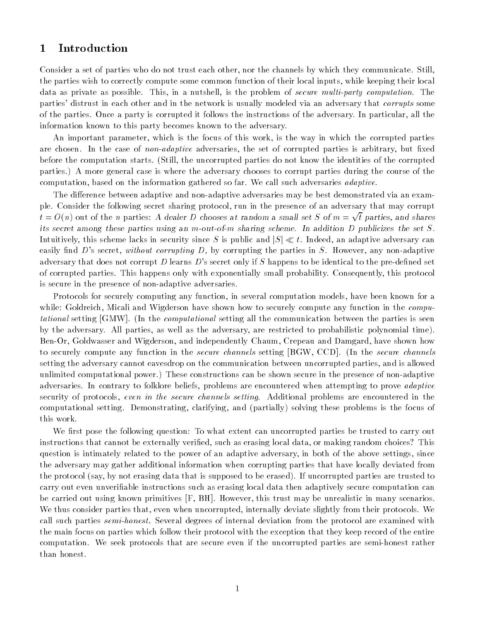#### 1Introduction

Consider a set of parties who do not trust each other, nor the channels by which they communicate. Still, the parties wish to correctly compute some common function of their local inputs, while keeping their local data as private as possible. This, in a nutshell, is the problem of secure multi-party computation. The parties' distrust in each other and in the network is usually modeled via an adversary that *corrupts* some of the parties. Once a party is corrupted it follows the instructions of the adversary. In particular, all the information known to this party becomes known to the adversary.

An important parameter, which is the focus of this work, is the way in which the corrupted parties are chosen. In the case of *non-adaptive* adversaries, the set of corrupted parties is arbitrary, but fixed before the computation starts. (Still, the uncorrupted parties do not know the identities of the corrupted parties.) A more general case is where the adversary chooses to corrupt parties during the course of the computation, based on the information gathered so far. We call such adversaries *adaptive*.

The difference between adaptive and non-adaptive adversaries may be best demonstrated via an example. Consider the following secret sharing protocol, run in the presence of an adversary that may corrupt  $t = O(n)$  out of the n parties: A dealer D chooses at random a small set S of  $m = \sqrt{t}$  parties, and shares its secret among these parties using an m-out-of-m sharing scheme. In addition D publicizes the set S. Intuitively, this scheme lacks in security since S is public and  $|S| \ll t$ . Indeed, an adaptive adversary can easily find  $D$ 's secret, without corrupting  $D$ , by corrupting the parties in  $S$ . However, any non-adaptive adversary that does not corrupt D learns D's secret only if S happens to be identical to the pre-defined set of corrupted parties. This happens only with exponentially small probability. Consequently, this protocol is secure in the presence of non-adaptive adversaries.

Protocols for securely computing any function, in several computation models, have been known for a while: Goldreich, Micali and Wigderson have shown how to securely compute any function in the *compu*tational setting [GMW]. (In the *computational* setting all the communication between the parties is seen by the adversary. All parties, as well as the adversary, are restricted to probabilistic polynomial time). Ben-Or, Goldwasser and Wigderson, and independently Chaum, Crepeau and Damgard, have shown how to securely compute any function in the *secure channels* setting [BGW, CCD]. (In the *secure channels* setting the adversary cannot eavesdrop on the communication between uncorrupted parties, and is allowed unlimited computational power.) These constructions can be shown secure in the presence of non-adaptive adversaries. In contrary to folklore beliefs, problems are encountered when attempting to prove *adaptive* security of protocols, even in the secure channels setting. Additional problems are encountered in the computational setting. Demonstrating, clarifying, and (partially) solving these problems is the focus of this work.

We first pose the following question: To what extent can uncorrupted parties be trusted to carry out instructions that cannot be externally veried, such as erasing local data, or making random choices? This question is intimately related to the power of an adaptive adversary, in both of the above settings, since the adversary may gather additional information when corrupting parties that have locally deviated from the protocol (say, by not erasing data that is supposed to be erased). If uncorrupted parties are trusted to carry out even unverifiable instructions such as erasing local data then adaptively secure computation can be carried out using known primitives [F, BH]. However, this trust may be unrealistic in many scenarios. We thus consider parties that, even when uncorrupted, internally deviate slightly from their protocols. We call such parties *semi-honest*. Several degrees of internal deviation from the protocol are examined with the main focus on parties which follow their protocol with the exception that they keep record of the entire computation. We seek protocols that are secure even if the uncorrupted parties are semi-honest rather than honest.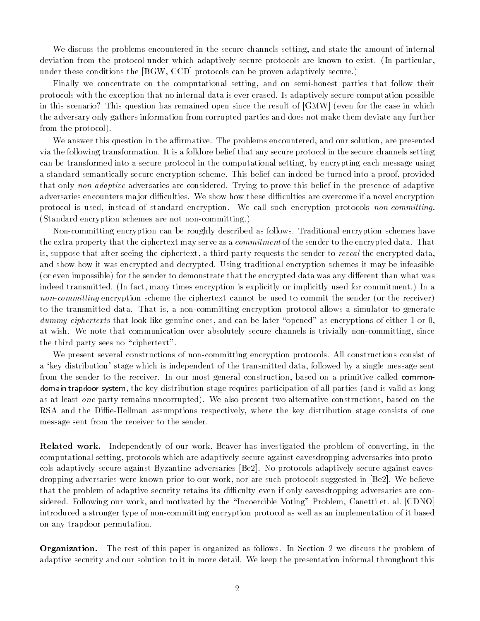We discuss the problems encountered in the secure channels setting, and state the amount of internal deviation from the protocol under which adaptively secure protocols are known to exist. (In particular, under these conditions the [BGW, CCD] protocols can be proven adaptively secure.)

Finally we concentrate on the computational setting, and on semi-honest parties that follow their protocols with the exception that no internal data is ever erased. Is adaptively secure computation possible in this scenario? This question has remained open since the result of [GMW] (even for the case in which the adversary only gathers information from corrupted parties and does not make them deviate any further from the protocol).

We answer this question in the affirmative. The problems encountered, and our solution, are presented via the following transformation. It is a folklore belief that any secure protocol in the secure channels setting can be transformed into a secure protocol in the computational setting, by encrypting each message using a standard semantically secure encryption scheme. This belief can indeed be turned into a proof, provided that only non-adaptive adversaries are considered. Trying to prove this belief in the presence of adaptive adversaries encounters major difficulties. We show how these difficulties are overcome if a novel encryption protocol is used, instead of standard encryption. We call such encryption protocols non-committing. (Standard encryption schemes are not non-committing.)

Non-committing encryption can be roughly described as follows. Traditional encryption schemes have the extra property that the ciphertext may serve as a *commitment* of the sender to the encrypted data. That is, suppose that after seeing the ciphertext, a third party requests the sender to *reveal* the encrypted data, and show how it was encrypted and decrypted. Using traditional encryption schemes it may be infeasible (or even impossible) for the sender to demonstrate that the encrypted data was any different than what was indeed transmitted. (In fact, many times encryption is explicitly or implicitly used for commitment.) In a non-committing encryption scheme the ciphertext cannot be used to commit the sender (or the receiver) to the transmitted data. That is, a non-committing encryption protocol allows a simulator to generate dummy ciphertexts that look like genuine ones, and can be later "opened" as encryptions of either 1 or 0, at wish. We note that communication over absolutely secure channels is trivially non-committing, since the third party sees no "ciphertext".

We present several constructions of non-committing encryption protocols. All constructions consist of a 'key distribution' stage which is independent of the transmitted data, followed by a single message sent from the sender to the receiver. In our most general construction, based on a primitive called commondomain trapdoor system, the key distribution stage requires participation of all parties (and is valid as long as at least one party remains uncorrupted). We also present two alternative constructions, based on the RSA and the Diffie-Hellman assumptions respectively, where the key distribution stage consists of one message sent from the receiver to the sender.

Related work. Independently of our work, Beaver has investigated the problem of converting, in the computational setting, protocols which are adaptively secure against eavesdropping adversaries into protocols adaptively secure against Byzantine adversaries [Be2]. No protocols adaptively secure against eavesdropping adversaries were known prior to our work, nor are such protocols suggested in [Be2]. We believe that the problem of adaptive security retains its difficulty even if only eavesdropping adversaries are considered. Following our work, and motivated by the \Incoercible Voting" Problem, Canetti et. al. [CDNO] introduced a stronger type of non-committing encryption protocol as well as an implementation of it based on any trapdoor permutation.

Organization. The rest of this paper is organized as follows. In Section 2 we discuss the problem of adaptive security and our solution to it in more detail. We keep the presentation informal throughout this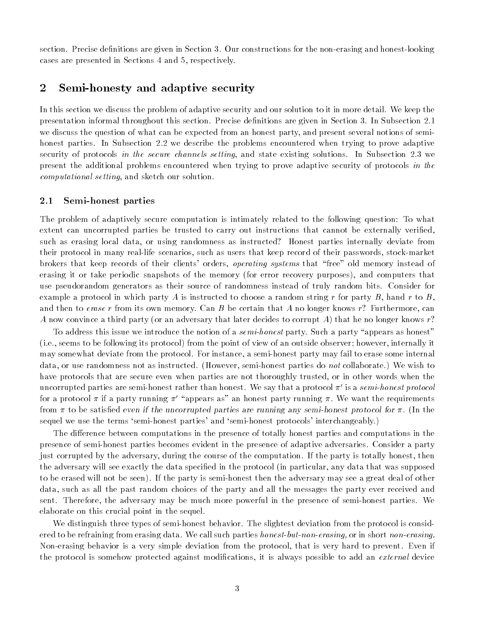section. Precise definitions are given in Section 3. Our constructions for the non-erasing and honest-looking cases are presented in Sections 4 and 5, respectively.

#### 2Semi-honesty and adaptive security

In this section we discuss the problem of adaptive security and our solution to it in more detail. We keep the presentation informal throughout this section. Precise definitions are given in Section 3. In Subsection 2.1 we discuss the question of what can be expected from an honest party, and present several notions of semihonest parties. In Subsection 2.2 we describe the problems encountered when trying to prove adaptive security of protocols in the secure channels setting, and state existing solutions. In Subsection 2.3 we present the additional problems encountered when trying to prove adaptive security of protocols in the computational setting, and sketch our solution.

#### 2.1 Semi-honest parties

The problem of adaptively secure computation is intimately related to the following question: To what extent can uncorrupted parties be trusted to carry out instructions that cannot be externally verified, such as erasing local data, or using randomness as instructed? Honest parties internally deviate from their protocol in many real-life scenarios, such as users that keep record of their passwords, stock-market brokers that keep records of their clients' orders, *operating systems* that "free" old memory instead of erasing it or take periodic snapshots of the memory (for error recovery purposes), and computers that use pseudorandom generators as their source of randomness instead of truly random bits. Consider for example a protocol in which party A is instructed to choose a random string r for party B, hand r to B, and then to erase r from its own memory. Can B be certain that A no longer knows r? Furthermore, can A now convince a third party (or an adversary that later decides to corrupt A) that he no longer knows  $r$ ?

To address this issue we introduce the notion of a *semi-honest* party. Such a party "appears as honest" (i.e., seems to be following its protocol) from the point of view of an outside observer; however, internally it may somewhat deviate from the protocol. For instance, a semi-honest party may fail to erase some internal data, or use randomness not as instructed. (However, semi-honest parties do not collaborate.) We wish to have protocols that are secure even when parties are not thoroughly trusted, or in other words when the uncorrupted parties are semi-honest rather than honest. We say that a protocol  $\pi'$  is a semi-honest protocol for a protocol  $\pi$  if a party running  $\pi'$  "appears as" an honest party running  $\pi$ . We want the requirements from  $\pi$  to be satisfied even if the uncorrupted parties are running any semi-honest protocol for  $\pi$ . (In the sequel we use the terms `semi-honest parties' and `semi-honest protocols' interchangeably.)

The difference between computations in the presence of totally honest parties and computations in the presence of semi-honest parties becomes evident in the presence of adaptive adversaries. Consider a party just corrupted by the adversary, during the course of the computation. If the party is totally honest, then the adversary will see exactly the data specied in the protocol (in particular, any data that was supposed to be erased will not be seen). If the party is semi-honest then the adversary may see a great deal of other data, such as all the past random choices of the party and all the messages the party ever received and sent. Therefore, the adversary may be much more powerful in the presence of semi-honest parties. We elaborate on this crucial point in the sequel.

We distinguish three types of semi-honest behavior. The slightest deviation from the protocol is considered to be refraining from erasing data. We call such parties *honest-but-non-erasing*, or in short *non-erasing*. Non-erasing behavior is a very simple deviation from the protocol, that is very hard to prevent. Even if the protocol is somehow protected against modifications, it is always possible to add an *external* device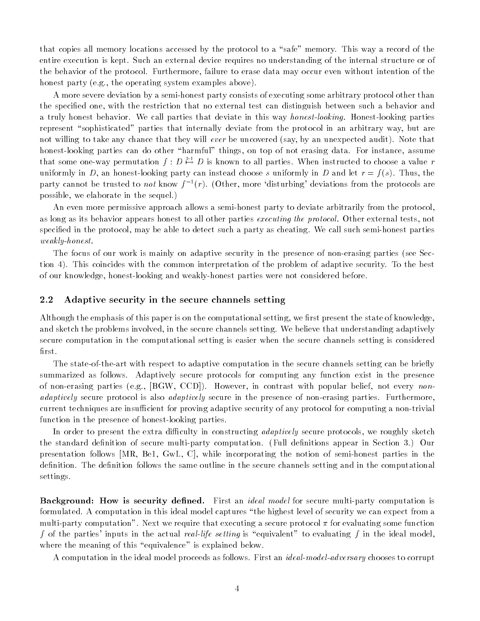that copies all memory locations accessed by the protocol to a "safe" memory. This way a record of the entire execution is kept. Such an external device requires no understanding of the internal structure or of the behavior of the protocol. Furthermore, failure to erase data may occur even without intention of the honest party (e.g., the operating system examples above).

A more severe deviation by a semi-honest party consists of executing some arbitrary protocol other than the specied one, with the restriction that no external test can distinguish between such a behavior and a truly honest behavior. We call parties that deviate in this way honest-looking. Honest-looking parties represent "sophisticated" parties that internally deviate from the protocol in an arbitrary way, but are not willing to take any chance that they will ever be uncovered (say, by an unexpected audit). Note that honest-looking parties can do other "harmful" things, on top of not erasing data. For instance, assume that some one-way permutation  $f: D \mapsto D$  is known to all parties. When instructed to choose a value  $r$ uniformly in D, an honest-looking party can instead choose s uniformly in D and let  $r = f(s)$ . Thus, the party cannot be trusted to *not* know  $f^{-1}(r)$ . (Other, more 'disturbing' deviations from the protocols are possible, we elaborate in the sequel.)

An even more permissive approach allows a semi-honest party to deviate arbitrarily from the protocol, as long as its behavior appears honest to all other parties executing the protocol. Other external tests, not specied in the protocol, may be able to detect such a party as cheating. We call such semi-honest parties weakly-honest.

The focus of our work is mainly on adaptive security in the presence of non-erasing parties (see Section 4). This coincides with the common interpretation of the problem of adaptive security. To the best of our knowledge, honest-looking and weakly-honest parties were not considered before.

#### $2.2$ Adaptive security in the secure channels setting

Although the emphasis of this paper is on the computational setting, we first present the state of knowledge, and sketch the problems involved, in the secure channels setting. We believe that understanding adaptively secure computation in the computational setting is easier when the secure channels setting is considered first.

The state-of-the-art with respect to adaptive computation in the secure channels setting can be briefly summarized as follows. Adaptively secure protocols for computing any function exist in the presence of non-erasing parties (e.g., [BGW, CCD]). However, in contrast with popular belief, not every nonadaptively secure protocol is also *adaptively* secure in the presence of non-erasing parties. Furthermore, current techniques are insufficient for proving adaptive security of any protocol for computing a non-trivial function in the presence of honest-looking parties.

In order to present the extra difficulty in constructing *adaptively* secure protocols, we roughly sketch the standard definition of secure multi-party computation. (Full definitions appear in Section 3.) Our presentation follows [MR, Be1, GwL, C], while incorporating the notion of semi-honest parties in the definition. The definition follows the same outline in the secure channels setting and in the computational settings.

Background: How is security defined. First an *ideal model* for secure multi-party computation is formulated. A computation in this ideal model captures \the highest level of security we can expect from a multi-party computation". Next we require that executing a secure protocol  $\pi$  for evaluating some function f of the parties' inputs in the actual real-life setting is "equivalent" to evaluating f in the ideal model, where the meaning of this "equivalence" is explained below.

A computation in the ideal model proceeds as follows. First an ideal-model-adversary chooses to corrupt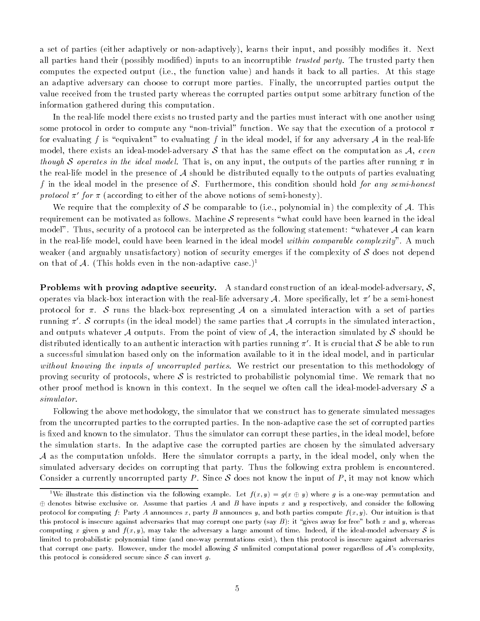a set of parties (either adaptively or non-adaptively), learns their input, and possibly modies it. Next all parties hand their (possibly modified) inputs to an incorruptible *trusted party*. The trusted party then computes the expected output (i.e., the function value) and hands it back to all parties. At this stage an adaptive adversary can choose to corrupt more parties. Finally, the uncorrupted parties output the value received from the trusted party whereas the corrupted parties output some arbitrary function of the information gathered during this computation.

In the real-life model there exists no trusted party and the parties must interact with one another using some protocol in order to compute any "non-trivial" function. We say that the execution of a protocol  $\pi$ for evaluating f is "equivalent" to evaluating f in the ideal model, if for any adversary A in the real-life model, there exists an ideal-model-adversary S that has the same effect on the computation as A, even though S operates in the ideal model. That is, on any input, the outputs of the parties after running  $\pi$  in the real-life model in the presence of  $\mathcal A$  should be distributed equally to the outputs of parties evaluating f in the ideal model in the presence of S. Furthermore, this condition should hold for any semi-honest protocol  $\pi'$  for  $\pi$  (according to either of the above notions of semi-honesty).

We require that the complexity of S be comparable to (i.e., polynomial in) the complexity of A. This requirement can be motivated as follows. Machine S represents "what could have been learned in the ideal model". Thus, security of a protocol can be interpreted as the following statement: "whatever  $\mathcal A$  can learn in the real-life model, could have been learned in the ideal model within comparable complexity". A much weaker (and arguably unsatisfactory) notion of security emerges if the complexity of  $\mathcal S$  does not depend on that of A. (This holds even in the non-adaptive case.)<sup>1</sup>

**Problems with proving adaptive security.** A standard construction of an ideal-model-adversary,  $S$ , operates via black-box interaction with the real-life adversary A. More specifically, let  $\pi'$  be a semi-honest protocol for  $\pi$ . S runs the black-box representing A on a simulated interaction with a set of parties running  $\pi'$ . S corrupts (in the ideal model) the same parties that A corrupts in the simulated interaction, and outputs whatever A outputs. From the point of view of A, the interaction simulated by S should be distributed identically to an authentic interaction with parties running  $\pi'$ . It is crucial that S be able to run a successful simulation based only on the information available to it in the ideal model, and in particular without knowing the inputs of uncorrupted parties. We restrict our presentation to this methodology of proving security of protocols, where  $S$  is restricted to probabilistic polynomial time. We remark that no other proof method is known in this context. In the sequel we often call the ideal-model-adversary  $S$  a simulator.

Following the above methodology, the simulator that we construct has to generate simulated messages from the uncorrupted parties to the corrupted parties. In the non-adaptive case the set of corrupted parties is fixed and known to the simulator. Thus the simulator can corrupt these parties, in the ideal model, before the simulation starts. In the adaptive case the corrupted parties are chosen by the simulated adversary  $A$  as the computation unfolds. Here the simulator corrupts a party, in the ideal model, only when the simulated adversary decides on corrupting that party. Thus the following extra problem is encountered. Consider a currently uncorrupted party P. Since S does not know the input of P, it may not know which

<sup>&</sup>lt;sup>1</sup>We illustrate this distinction via the following example. Let  $f(x, y) = g(x \oplus y)$  where g is a one-way permutation and  $\oplus$  denotes bitwise exclusive or. Assume that parties A and B have inputs x and y respectively, and consider the following protocol for computing f: Party A announces x, party B announces y, and both parties compute  $f(x, y)$ . Our intuition is that this protocol is insecure against adversaries that may corrupt one party (say  $B$ ): it "gives away for free" both x and y, whereas computing x given y and  $f(x, y)$ , may take the adversary a large amount of time. Indeed, if the ideal-model adversary S is limited to probabilistic polynomial time (and one-way permutations exist), then this protocol is insecure against adversaries that corrupt one party. However, under the model allowing S unlimited computational power regardless of  $A$ 's complexity, this protocol is considered secure since  $S$  can invert g.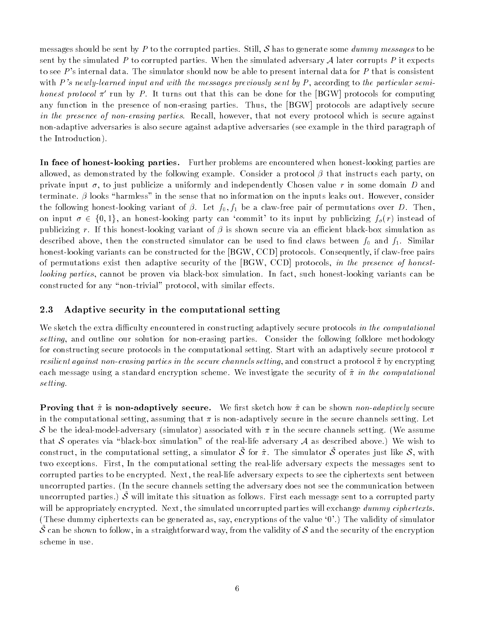messages should be sent by P to the corrupted parties. Still, S has to generate some dummy messages to be sent by the simulated P to corrupted parties. When the simulated adversary A later corrupts P it expects to see P's internal data. The simulator should now be able to present internal data for P that is consistent with P's newly-learned input and with the messages previously sent by P, according to the particular semihonest protocol  $\pi'$  run by P. It turns out that this can be done for the [BGW] protocols for computing any function in the presence of non-erasing parties. Thus, the [BGW] protocols are adaptively secure in the presence of non-erasing parties. Recall, however, that not every protocol which is secure against non-adaptive adversaries is also secure against adaptive adversaries (see example in the third paragraph of the Introduction).

In face of honest-looking parties. Further problems are encountered when honest-looking parties are allowed, as demonstrated by the following example. Consider a protocol  $\beta$  that instructs each party, on private input  $\sigma$ , to just publicize a uniformly and independently Chosen value r in some domain D and terminate.  $\beta$  looks "harmless" in the sense that no information on the inputs leaks out. However, consider the following honest-looking variant of  $\beta$ . Let  $f_0, f_1$  be a claw-free pair of permutations over D. Then, on input  $\sigma \in \{0, 1\}$ , an honest-looking party can 'commit' to its input by publicizing  $f_{\sigma}(r)$  instead of publicizing r. If this honest-looking variant of  $\beta$  is shown secure via an efficient black-box simulation as described above, then the constructed simulator can be used to find claws between  $f_0$  and  $f_1$ . Similar honest-looking variants can be constructed for the [BGW, CCD] protocols. Consequently, if claw-free pairs of permutations exist then adaptive security of the [BGW, CCD] protocols, in the presence of honestlooking parties, cannot be proven via black-box simulation. In fact, such honest-looking variants can be constructed for any "non-trivial" protocol, with similar effects.

### 2.3 Adaptive security in the computational setting

We sketch the extra difficulty encountered in constructing adaptively secure protocols in the computational setting, and outline our solution for non-erasing parties. Consider the following folklore methodology for constructing secure protocols in the computational setting. Start with an adaptively secure protocol  $\pi$ resilient against non-erasing parties in the secure channels setting, and construct a protocol  $\tilde{\pi}$  by encrypting each message using a standard encryption scheme. We investigate the security of  $\tilde{\pi}$  in the computational setting.

**Proving that**  $\tilde{\pi}$  **is non-adaptively secure.** We first sketch how  $\tilde{\pi}$  can be shown non-adaptively secure in the computational setting, assuming that  $\pi$  is non-adaptively secure in the secure channels setting. Let S be the ideal-model-adversary (simulator) associated with  $\pi$  in the secure channels setting. (We assume that S operates via "black-box simulation" of the real-life adversary A as described above.) We wish to construct, in the computational setting, a simulator  $\tilde{\mathcal{S}}~$  for  $\tilde{\pi}$ . The simulator  $\tilde{\mathcal{S}}~$  operates just like  $\mathcal{S}$ , with two exceptions. First, In the computational setting the real-life adversary expects the messages sent to corrupted parties to be encrypted. Next, the real-life adversary expects to see the ciphertexts sent between uncorrupted parties. (In the secure channels setting the adversary does not see the communication between uncorrupted parties.)  $\tilde{\mathcal{S}}$  will imitate this situation as follows. First each message sent to a corrupted party will be appropriately encrypted. Next, the simulated uncorrupted parties will exchange dummy ciphertexts. (These dummy ciphertexts can be generated as, say, encryptions of the value `0'.) The validity of simulator  $\tilde{\mathcal{S}}$  can be shown to follow, in a straightforward way, from the validity of  $\mathcal S$  and the security of the encryption scheme in use.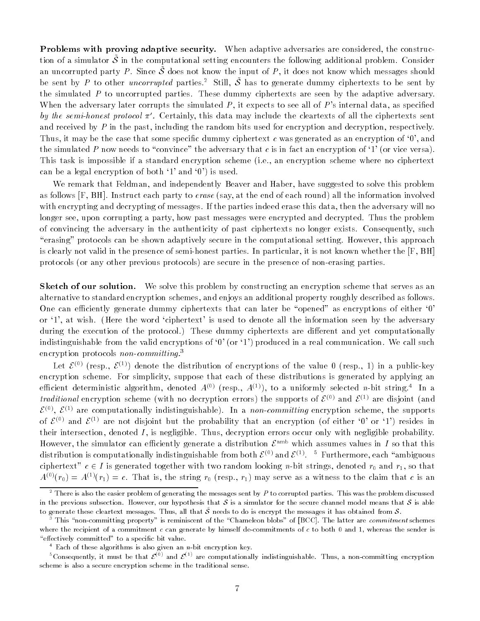Problems with proving adaptive security. When adaptive adversaries are considered, the construction of a simulator  $\phi$  in the computational setting encounters the following additional problem. Consider an uncorrupted party P. Since  $\tilde{\mathcal{S}}$  does not know the input of P, it does not know which messages should be sent by P to other *uncorrupted* parties.<sup>2</sup> Still,  $\tilde{S}$  has to generate dummy ciphertexts to be sent by the simulated  $P$  to uncorrupted parties. These dummy ciphertexts are seen by the adaptive adversary. When the adversary later corrupts the simulated  $P$ , it expects to see all of  $P$ 's internal data, as specified by the semi-honest protocol  $\pi'$ . Certainly, this data may include the cleartexts of all the ciphertexts sent and received by  $P$  in the past, including the random bits used for encryption and decryption, respectively. Thus, it may be the case that some specific dummy ciphertext  $c$  was generated as an encryption of  $\mathfrak{v}'$ , and the simulated P now needs to "convince" the adversary that c is in fact an encryption of  $\mathcal{I}'$  (or vice versa). This task is impossible if a standard encryption scheme (i.e., an encryption scheme where no ciphertext can be a legal encryption of both  $\mathcal{F}$  and  $\mathcal{F}$ ) is used.

We remark that Feldman, and independently Beaver and Haber, have suggested to solve this problem as follows  $[F, BH]$ . Instruct each party to *erase* (say, at the end of each round) all the information involved with encrypting and decrypting of messages. If the parties indeed erase this data, then the adversary will no longer see, upon corrupting a party, how past messages were encrypted and decrypted. Thus the problem of convincing the adversary in the authenticity of past ciphertexts no longer exists. Consequently, such "erasing" protocols can be shown adaptively secure in the computational setting. However, this approach is clearly not valid in the presence of semi-honest parties. In particular, it is not known whether the [F, BH] protocols (or any other previous protocols) are secure in the presence of non-erasing parties.

Sketch of our solution. We solve this problem by constructing an encryption scheme that serves as an alternative to standard encryption schemes, and enjoys an additional property roughly described as follows. One can efficiently generate dummy ciphertexts that can later be "opened" as encryptions of either  $\dot{0}$ ' or `1', at wish. (Here the word `ciphertext' is used to denote all the information seen by the adversary during the execution of the protocol.) These dummy ciphertexts are different and yet computationally indistinguishable from the valid encryptions of  $0'$  (or  $1'$ ) produced in a real communication. We call such encryption protocols non-committing.<sup>3</sup>

Let  $\mathcal{E}^{(0)}$  (resp.,  $\mathcal{E}^{(1)}$ ) denote the distribution of encryptions of the value 0 (resp., 1) in a public-key encryption scheme. For simplicity, suppose that each of these distributions is generated by applying an emclem deterministic algorithm, denoted  $A^{\langle\gamma\rangle}$  (resp.,  $A^{\langle\gamma\rangle}$ ), to a uniformly selected  $n$ -bit string. The a *traditional* encryption scheme (with no decryption errors) the supports of  $\mathcal{E}^{(0)}$  and  $\mathcal{E}^{(1)}$  are disjoint (and  $\mathcal{E}^{<\sim}$ ,  $\mathcal{E}^{<\sim}$  are computationally indistinguishable). In a *non-committing* encryption scheme, the supports of  $\mathcal{E}^{(0)}$  and  $\mathcal{E}^{(1)}$  are not disjoint but the probability that an encryption (of either '0' or '1') resides in their intersection, denoted  $I$ , is negligible. Thus, decryption errors occur only with negligible probability. However, the simulator can efficiently generate a distribution  $\mathcal{E}^{\text{amb}}$  which assumes values in I so that this distribution is computationally indistinguishable from both  $\varepsilon^{<\gamma}$  and  $\varepsilon^{<\gamma}.$  The furthermore, each  $\,$  ambiguous  $\,$ ciphertext"  $c \in I$  is generated together with two random looking n-bit strings, denoted  $r_0$  and  $r_1$ , so that  $A^{(0)}(r_0) = A^{(1)}(r_1) = c$ . That is, the string  $r_0$  (resp.,  $r_1$ ) may serve as a witness to the claim that c is an

 $^{\circ}$  There is also the easier problem of generating the messages sent by  $P$  to corrupted parties. This was the problem discussed in the previous subsection. However, our hypothesis that  $S$  is a simulator for the secure channel model means that  $S$  is able to generate these cleartext messages. Thus, all that  $\tilde{\mathcal{S}}$  needs to do is encrypt the messages it has obtained from  $\mathcal{S}$ .

 $^\circ$  This "non-committing property" is reminiscent of the "Chameleon blobs" of [BCC]. The latter are *commitment* schemes where the recipient of a commitment  $c$  can generate by himself de-commitments of  $c$  to both 0 and 1, whereas the sender is "effectively committed" to a specific bit value.

 $\bar{ }$  Each of these algorithms is also given an n-bit encryption key.

<sup>&</sup>quot;Uonsequently, it must be that  $\mathcal{E}^{\gamma\gamma}$  and  $\mathcal{E}^{\gamma\gamma}$  are computationally indistinguishable. Thus, a non-committing encryption scheme is also a secure encryption scheme in the traditional sense.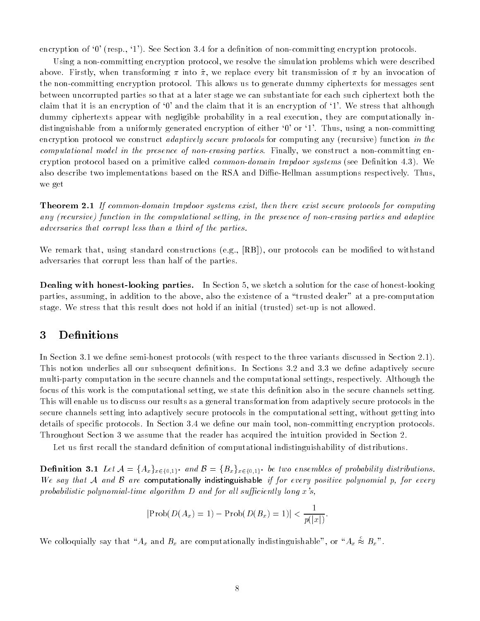encryption of  $\mathfrak{g}'$  (resp.,  $\mathfrak{g}'$ ). See Section 3.4 for a definition of non-committing encryption protocols.

Using a non-committing encryption protocol, we resolve the simulation problems which were described above. Firstly, when transforming  $\pi$  into  $\tilde{\pi}$ , we replace every bit transmission of  $\pi$  by an invocation of the non-committing encryption protocol. This allows us to generate dummy ciphertexts for messages sent between uncorrupted parties so that at a later stage we can substantiate for each such ciphertext both the claim that it is an encryption of `0' and the claim that it is an encryption of `1'. We stress that although dummy ciphertexts appear with negligible probability in a real execution, they are computationally indistinguishable from a uniformly generated encryption of either '0' or '1'. Thus, using a non-committing encryption protocol we construct *adaptively secure protocols* for computing any (recursive) function in the computational model in the presence of non-erasing parties. Finally, we construct a non-committing encryption protocol based on a primitive called *common-domain trapdoor systems* (see Definition 4.3). We also describe two implementations based on the RSA and Diffie-Hellman assumptions respectively. Thus, we get

**Theorem 2.1** If common-domain trapdoor systems exist, then there exist secure protocols for computing any (recursive) function in the computational setting, in the presence of non-erasing parties and adaptive adversaries that corrupt less than a third of the parties.

We remark that, using standard constructions (e.g.,  $[RB]$ ), our protocols can be modified to withstand adversaries that corrupt less than half of the parties.

Dealing with honest-looking parties. In Section 5, we sketch a solution for the case of honest-looking parties, assuming, in addition to the above, also the existence of a \trusted dealer" at a pre-computation stage. We stress that this result does not hold if an initial (trusted) set-up is not allowed.

#### 3**Definitions**

In Section 3.1 we define semi-honest protocols (with respect to the three variants discussed in Section 2.1). This notion underlies all our subsequent definitions. In Sections 3.2 and 3.3 we define adaptively secure multi-party computation in the secure channels and the computational settings, respectively. Although the focus of this work is the computational setting, we state this definition also in the secure channels setting. This will enable us to discuss our results as a general transformation from adaptively secure protocols in the secure channels setting into adaptively secure protocols in the computational setting, without getting into details of specific protocols. In Section 3.4 we define our main tool, non-committing encryption protocols. Throughout Section 3 we assume that the reader has acquired the intuition provided in Section 2.

Let us first recall the standard definition of computational indistinguishability of distributions.

**Definition 3.1** Let  $A = \{A_x\}_{x \in \{0,1\}^*}$  and  $B = \{B_x\}_{x \in \{0,1\}^*}$  be two ensembles of probability distributions. We say that A and B are computationally indistinguishable if for every positive polynomial p, for every probabilistic polynomial-time algorithm  $D$  and for all sufficiently long x's,

$$
|\text{Prob}(D(A_x) = 1) - \text{Prob}(D(B_x) = 1)| < \frac{1}{p(|x|)}.
$$

We colloquially say that " $A_x$  and  $B_x$  are computationally indistinguishable", or " $A_x \approx B_x$ ".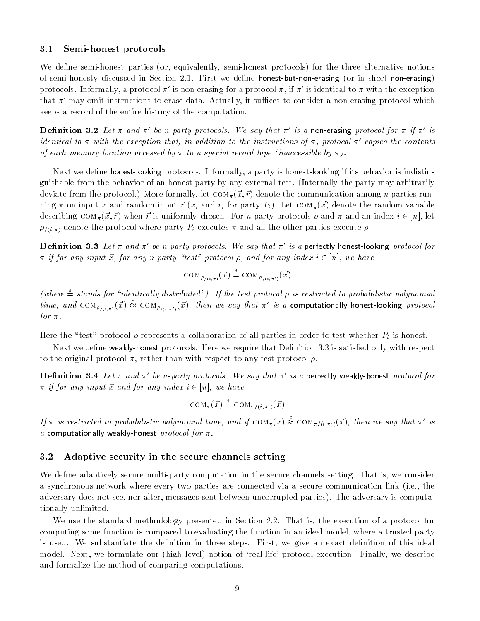#### $3.1$ Semi-honest protocols

We define semi-honest parties (or, equivalently, semi-honest protocols) for the three alternative notions of semi-honesty discussed in Section 2.1. First we define honest-but-non-erasing (or in short non-erasing) protocols. Informally, a protocol  $\pi'$  is non-erasing for a protocol  $\pi$ , if  $\pi'$  is identical to  $\pi$  with the exception that  $\pi'$  may omit instructions to erase data. Actually, it suffices to consider a non-erasing protocol which keeps a record of the entire history of the computation.

**Definition 3.2** Let  $\pi$  and  $\pi'$  be n-party protocols. We say that  $\pi'$  is a non-erasing protocol for  $\pi$  if  $\pi'$  is identical to  $\pi$  with the exception that, in addition to the instructions of  $\pi$ , protocol  $\pi'$  copies the contents of each memory location accessed by  $\pi$  to a special record tape (inaccessible by  $\pi$ ).

Next we define **honest-looking** protocols. Informally, a party is honest-looking if its behavior is indistinguishable from the behavior of an honest party by any external test. (Internally the party may arbitrarily deviate from the protocol.) More formally, let  $\text{co}_{M_{\pi}}(\vec{x}, \vec{r})$  denote the communication among *n* parties running  $\pi$  on input  $\vec{x}$  and random input  $\vec{r}$  ( $x_i$  and  $r_i$  for party  $P_i$ ). Let  $COM_{\pi}(\vec{x})$  denote the random variable describing  $COM_{\pi}(\vec{x}, \vec{r})$  when  $\vec{r}$  is uniformly chosen. For *n*-party protocols  $\rho$  and  $\pi$  and an index  $i \in [n]$ , let  $\rho_{\ell(i,\pi)}$  denote the protocol where party  $P_i$  executes  $\pi$  and all the other parties execute  $\rho$ .

**Definition 3.3** Let  $\pi$  and  $\pi'$  be n-party protocols. We say that  $\pi'$  is a perfectly honest-looking protocol for  $\pi$  if for any input  $\vec{x}$ , for any n-party "test" protocol  $\rho$ , and for any index  $i \in [n]$ , we have

$$
\mathrm{COM}_{\rho_{\ell(i,\pi)}}(\vec{x}) \triangleq \mathrm{COM}_{\rho_{\ell(i,\pi')}}(\vec{x})
$$

(where  $\dot{=}$  stands for "identically distributed"). If the test protocol  $\rho$  is restricted to probabilistic polynomial time, and  $\text{COM}_{\rho_{f(i,\pi)}}(\vec{x}) \approx \text{COM}_{\rho_{f(i,\pi')}}(\vec{x})$ , then we say that  $\pi'$  is a computationally honest-looking protocol for  $\pi$ .

Here the "test" protocol  $\rho$  represents a collaboration of all parties in order to test whether  $P_i$  is honest.

Next we define **weakly-honest** protocols. Here we require that Definition  $3.3$  is satisfied only with respect to the original protocol  $\pi$ , rather than with respect to any test protocol  $\rho$ .

**Definition 3.4** Let  $\pi$  and  $\pi'$  be n-party protocols. We say that  $\pi'$  is a perfectly weakly-honest protocol for  $\pi$  if for any input  $\vec{x}$  and for any index  $i \in [n]$ , we have

$$
\text{COM}_{\pi}(\vec{x}) \stackrel{\text{d}}{=} \text{COM}_{\pi/(i,\pi') }(\vec{x})
$$

If  $\pi$  is restricted to probabilistic polynomial time, and if  $COM_{\pi}(\vec{x}) \approx COM_{\pi/(i,\pi')}(\vec{x})$ , then we say that  $\pi'$  is a computationally weakly-honest *protocol for*  $\pi$ .

#### 3.2 Adaptive security in the secure channels setting

We define adaptively secure multi-party computation in the secure channels setting. That is, we consider a synchronous network where every two parties are connected via a secure communication link (i.e., the adversary does not see, nor alter, messages sent between uncorrupted parties). The adversary is computationally unlimited.

We use the standard methodology presented in Section 2.2. That is, the execution of a protocol for computing some function is compared to evaluating the function in an ideal model, where a trusted party is used. We substantiate the definition in three steps. First, we give an exact definition of this ideal model. Next, we formulate our (high level) notion of 'real-life' protocol execution. Finally, we describe and formalize the method of comparing computations.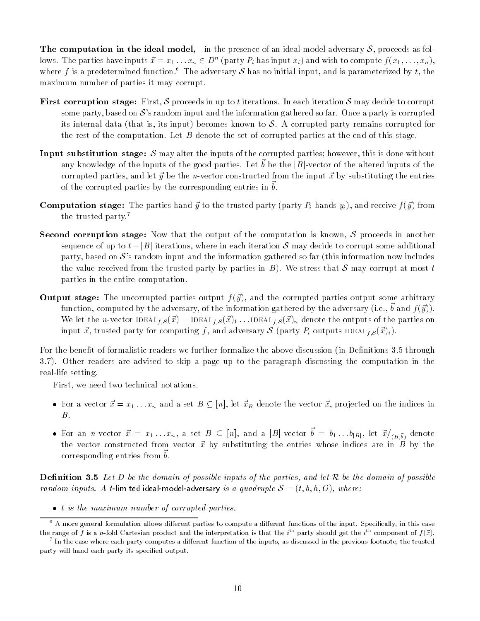The computation in the ideal model, in the presence of an ideal-model-adversary  $S$ , proceeds as follows. The parties have inputs  $x = x_1 \ldots x_n \in D^+$  (party  $P_i$  has input  $x_i$ ) and wish to compute  $f(x_1, \ldots, x_n)$ , where f is a predetermined function.<sup>6</sup> The adversary S has no initial input, and is parameterized by t, the maximum number of parties it may corrupt.

- **First corruption stage:** First, S proceeds in up to t iterations. In each iteration S may decide to corrupt some party, based on  $\mathcal{S}'$  s random input and the information gathered so far. Once a party is corrupted its internal data (that is, its input) becomes known to  $S$ . A corrupted party remains corrupted for the rest of the computation. Let  $B$  denote the set of corrupted parties at the end of this stage.
- **Input substitution stage:** S may alter the inputs of the corrupted parties; however, this is done without any knowledge of the inputs of the good parties. Let  $\sigma$  be the  $|D|$ -vector of the altered inputs of the  $\sigma$ corrupted parties, and let  $\vec{y}$  be the n-vector constructed from the input  $\vec{x}$  by substituting the entries of the corrupted parties by the corresponding entries in  $\sigma$ .
- **Computation stage:** The parties hand  $\vec{y}$  to the trusted party (party  $P_i$  hands  $y_i$ ), and receive  $f(\vec{y})$  from the trusted party.7
- **Second corruption stage:** Now that the output of the computation is known,  $S$  proceeds in another sequence of up to  $t - |B|$  iterations, where in each iteration S may decide to corrupt some additional party, based on  $\mathcal{S}'$ 's random input and the information gathered so far (this information now includes the value received from the trusted party by parties in  $B$ ). We stress that S may corrupt at most t parties in the entire computation.
- **Output stage:** The uncorrupted parties output  $f(\vec{y})$ , and the corrupted parties output some arbitrary  $f$ unction, computed by the adversary, of the information gathered by the adversary (i.e.,  $\sigma$  and  $f$  ( $q$  )). We let the n-vector IDEAL<sub>f,S</sub> $(\vec{x})$  = IDEAL<sub>f,S</sub> $(\vec{x})_1$ ...IDEAL<sub>f,S</sub> $(\vec{x})_n$  denote the outputs of the parties on input  $\vec{x}$ , trusted party for computing f, and adversary S (party  $P_i$  outputs IDEAL<sub>f;S</sub> $(\vec{x})_i$ ).

For the benefit of formalistic readers we further formalize the above discussion (in Definitions 3.5 through 3.7). Other readers are advised to skip a page up to the paragraph discussing the computation in the real-life setting.

First, we need two technical notations.

- For a vector  $\vec{x} = x_1 \dots x_n$  and a set  $B \subseteq [n]$ , let  $\vec{x}_B$  denote the vector  $\vec{x}$ , projected on the indices in
- For an *n*-vector  $x = x_1 \ldots x_n$ , a set  $B \subseteq [n]$ , and a  $|D|$ -vector  $\theta = \theta_1 \ldots \theta_{|B|}$ , let  $x_{/(B,\tilde{b})}$  denote the vector constructed from vector  $\vec{x}$  by substituting the entries whose indices are in B by the  $\frac{1}{2}$  corresponding entries from  $\sigma$ .

**Definition 3.5** Let D be the domain of possible inputs of the parties, and let R be the domain of possible random inputs. A t-limited ideal-model-adversary is a quadruple  $S = (t, b, h, O)$ , where:

• *t is the maximum number of corrupted parties.* 

<sup>–</sup> A more general formulation allows different parties to compute a different functions of the input. Specifically, in this case the range of  $f$  is a  $n$ -fold Cartesian product and the interpretation is that the  $i^+$  party should get the  $i^+$  component of  $f(x).$ 

<sup>7</sup> In the case where each party computes a dierent function of the inputs, as discussed in the previous footnote, the trusted party will hand each party its specied output.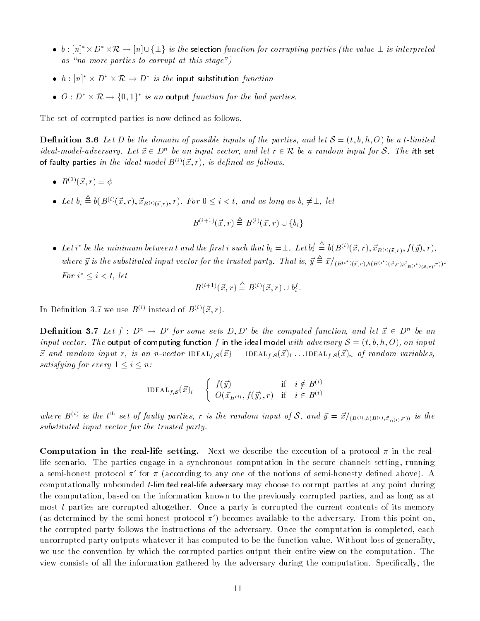- b:  $[n]^* \times D^* \times \mathcal{R} \to [n] \cup \{\perp\}$  is the selection function for corrupting parties (the value  $\perp$  is interpreted as "no more parties to corrupt at this stage")
- $\bullet\ \ h:[n]^*\times D^*\times \mathcal R\to D^*\ \ is\ \ the\ \ \textsf{input}\ \$  substitution  $\ function$
- $\bullet$   $\cup$  :  $D^* \times \mathcal{R} \rightarrow \{0,1\}^*$  is an output function for the bad parties.

The set of corrupted parties is now defined as follows.

**Definition 3.6** Let D be the domain of possible inputs of the parties, and let  $S = (t, b, h, O)$  be a t-limited ideal-model-adversary. Let  $\vec{x} \in D^n$  be an input vector, and let  $r \in \mathcal{R}$  be a random input for S. The ith set of faulty parties in the ideal model  $B^{(i)}(\vec{x}, r)$ , is defined as follows.

- $B^{(0)}(\vec{x}, r) = \phi$
- Let  $b_i \equiv b(B^{(i)}(\vec{x},r), \vec{x}_{B^{(i)}(\vec{x},r)}, r)$ . For  $0 \leq i < t$ , and as long as  $b_i \neq \perp$ , let

$$
B^{(i+1)}(\vec x,r) \stackrel{\triangle}{=} B^{(i)}(\vec x,r) \cup \{b_i\}
$$

• Let i<sup>\*</sup> be the minimum between t and the first i such that  $b_i = \perp$ . Let  $b_i^t \equiv b(B^{(i)}(\vec{x},r), \vec{x}_{B^{(i)}(\vec{x},r)}, f(\vec{y}), r)$ , where  $\hat{y}$  is the substituted input vector for the trusted party. That is,  $\hat{y} = \hat{x}/(B^{(i^*)}(\vec{x},r), h(B^{(i^*)}(\vec{x},r),\vec{x}_{B^{(i^*)}(\vec{x},r)},r))$ . (~x;r) For  $i^* \leq i < t$ , let

$$
B^{(i+1)}(\vec{x},r) \stackrel{\triangle}{=} B^{(i)}(\vec{x},r) \cup b_i^f.
$$

In Definition 3.7 we use  $B^{\leq\cdot}$  instead of  $B^{\leq\cdot}(x,r)$ .

**Definition 3.1** Let  $f: D^{\sim} \to D$  for some sets D, D be the computed function, and let  $x \in D^{\sim}$  be an input vector. The output of computing function f in the ideal model with adversary  $S = (t, b, h, O)$ , on input  $\vec{x}$  and random input r, is an n-vector IDEAL<sub>t.S</sub> $(\vec{x})$  = IDEAL<sub>t.S</sub> $(\vec{x})_1$ ...IDEAL<sub>t.S</sub> $(\vec{x})_n$  of random variables, satisfying for every  $1 \leq i \leq n$ :

$$
\text{IDEAL}_{f,\mathcal{S}}(\vec{x})_i = \begin{cases} f(\vec{y}) & \text{if } i \notin B^{(t)} \\ O(\vec{x}_{B^{(t)}}, f(\vec{y}), r) & \text{if } i \in B^{(t)} \end{cases}
$$

where  $B^{(t)}$  is the  $t^{(t)}$  set of faulty parties, r is the random input of S, and  $y = x/(B^{(t)}, h(B^{(t)}, \vec{x}_{B^{(t)}, r}))$  is the substituted input vector for the trusted party.

**Computation in the real-life setting.** Next we describe the execution of a protocol  $\pi$  in the reallife scenario. The parties engage in a synchronous computation in the secure channels setting, running a semi-honest protocol  $\pi'$  for  $\pi$  (according to any one of the notions of semi-honesty defined above). A computationally unbounded t-limited real-life adversary may choose to corrupt parties at any point during the computation, based on the information known to the previously corrupted parties, and as long as at most t parties are corrupted altogether. Once a party is corrupted the current contents of its memory (as determined by the semi-honest protocol  $\pi'$ ) becomes available to the adversary. From this point on, the corrupted party follows the instructions of the adversary. Once the computation is completed, each uncorrupted party outputs whatever it has computed to be the function value. Without loss of generality, we use the convention by which the corrupted parties output their entire view on the computation. The view consists of all the information gathered by the adversary during the computation. Specically, the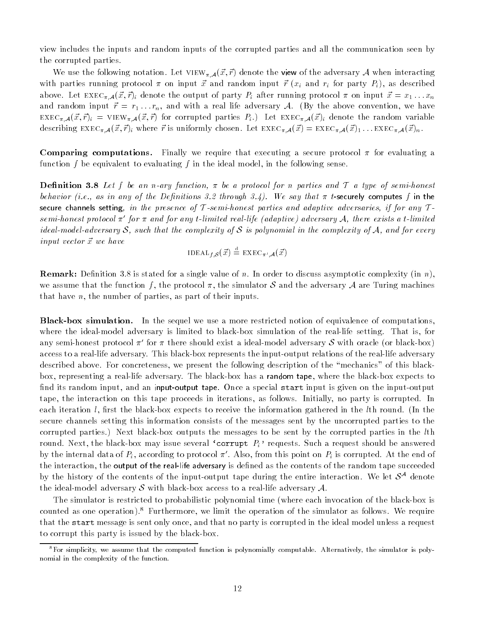view includes the inputs and random inputs of the corrupted parties and all the communication seen by the corrupted parties.

We use the following notation. Let  $VIEW_{\pi,\mathcal{A}}(\vec{x}, \vec{r})$  denote the view of the adversary A when interacting with parties running protocol  $\pi$  on input  $\vec{r}$  and random input  $\vec{r}$  ( $x_i$  and  $r_i$  for party  $P_i$ ), as described above. Let  $\text{EXEC}_{\pi,\mathcal{A}}(\vec{x},\vec{r})_i$  denote the output of party  $P_i$  after running protocol  $\pi$  on input  $\vec{x} = x_1 \dots x_n$ and random input  $\vec{r} = r_1 \dots r_n$ , and with a real life adversary A. (By the above convention, we have  ${\rm EXEC}_{\pi,\mathcal{A}}(\vec{x},\vec{r})_i = {\rm VIEW}_{\pi,\mathcal{A}}(\vec{x},\vec{r})$  for corrupted parties  $P_i$ .) Let  ${\rm EXEC}_{\pi,\mathcal{A}}(\vec{x})_i$  denote the random variable describing  $\text{EXEC}_{\pi,\mathcal{A}}(\vec{x},\vec{r})_i$  where  $\vec{r}$  is uniformly chosen. Let  $\text{EXEC}_{\pi,\mathcal{A}}(\vec{x}) = \text{EXEC}_{\pi,\mathcal{A}}(\vec{x})_1 \dots \text{EXEC}_{\pi,\mathcal{A}}(\vec{x})_n$ .

**Comparing computations.** Finally we require that executing a secure protocol  $\pi$  for evaluating a function f be equivalent to evaluating f in the ideal model, in the following sense.

**Definition 3.8** Let f be an n-ary function,  $\pi$  be a protocol for n parties and T a type of semi-honest behavior (i.e., as in any of the Definitions 3.2 through 3.4). We say that  $\pi$  t-securely computes f in the secure channels setting, in the presence of T-semi-honest parties and adaptive adversaries, if for any  $T$ semi-honest protocol  $\pi'$  for  $\pi$  and for any t-limited real-life (adaptive) adversary A, there exists a t-limited ideal-model-adversary S, such that the complexity of S is polynomial in the complexity of A, and for every  $input$  vector  $\vec{x}$  we have

$$
\text{IDEAL}_{f,\mathcal{S}}(\vec{x}) \stackrel{\text{d}}{=} \text{EXEC}_{\pi',\mathcal{A}}(\vec{x})
$$

**Remark:** Definition 3.8 is stated for a single value of n. In order to discuss asymptotic complexity (in n), we assume that the function f, the protocol  $\pi$ , the simulator S and the adversary A are Turing machines that have  $n$ , the number of parties, as part of their inputs.

Black-box simulation. In the sequel we use a more restricted notion of equivalence of computations, where the ideal-model adversary is limited to black-box simulation of the real-life setting. That is, for any semi-honest protocol  $\pi'$  for  $\pi$  there should exist a ideal-model adversary S with oracle (or black-box) access to a real-life adversary. This black-box represents the input-output relations of the real-life adversary described above. For concreteness, we present the following description of the \mechanics" of this blackbox, representing a real-life adversary. The black-box has a random tape, where the black-box expects to find its random input, and an input-output tape. Once a special start input is given on the input-output tape, the interaction on this tape proceeds in iterations, as follows. Initially, no party is corrupted. In each iteration  $l$ , first the black-box expects to receive the information gathered in the  $l$ th round. (In the secure channels setting this information consists of the messages sent by the uncorrupted parties to the corrupted parties.) Next black-box outputs the messages to be sent by the corrupted parties in the lth round. Next, the black-box may issue several 'corrupt  $P_i$ ' requests. Such a request should be answered by the internal data of  $P_i$ , according to protocol  $\pi'$ . Also, from this point on  $P_i$  is corrupted. At the end of the interaction, the output of the real-life adversary is defined as the contents of the random tape succeeded by the history of the contents of the input-output tape during the entire interaction. We let  $\mathcal{S}^{**}$  denote the ideal-model adversary S with black-box access to a real-life adversary  $\mathcal{A}$ .

The simulator is restricted to probabilistic polynomial time (where each invocation of the black-box is counted as one operation).<sup>8</sup> Furthermore, we limit the operation of the simulator as follows. We require that the start message is sent only once, and that no party is corrupted in the ideal model unless a request to corrupt this party is issued by the black-box.

<sup>8</sup>For simplicity, we assume that the computed function is polynomially computable. Alternatively, the simulator is polynomial in the complexity of the function.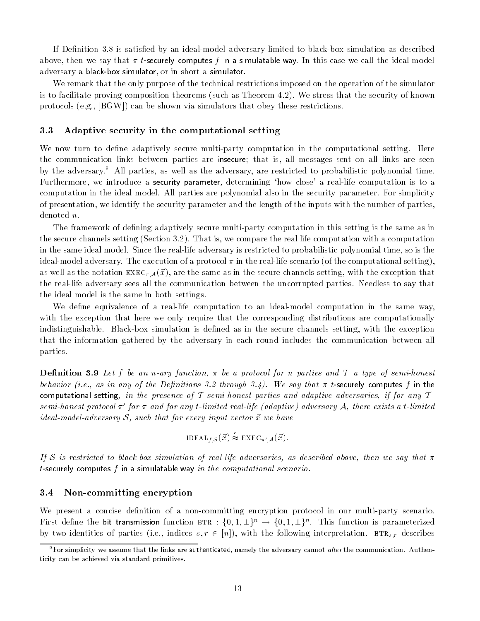If Definition 3.8 is satisfied by an ideal-model adversary limited to black-box simulation as described above, then we say that  $\pi$  t-securely computes f in a simulatable way. In this case we call the ideal-model adversary a black-box simulator, or in short a simulator.

We remark that the only purpose of the technical restrictions imposed on the operation of the simulator is to facilitate proving composition theorems (such as Theorem 4.2). We stress that the security of known protocols (e.g., [BGW]) can be shown via simulators that obey these restrictions.

#### 3.3 Adaptive security in the computational setting

We now turn to define adaptively secure multi-party computation in the computational setting. Here the communication links between parties are insecure; that is, all messages sent on all links are seen by the adversary.<sup>9</sup> All parties, as well as the adversary, are restricted to probabilistic polynomial time. Furthermore, we introduce a security parameter, determining 'how close' a real-life computation is to a computation in the ideal model. All parties are polynomial also in the security parameter. For simplicity of presentation, we identify the security parameter and the length of the inputs with the number of parties, denoted n.

The framework of defining adaptively secure multi-party computation in this setting is the same as in the secure channels setting (Section 3.2). That is, we compare the real life computation with a computation in the same ideal model. Since the real-life adversary is restricted to probabilistic polynomial time, so is the ideal-model adversary. The execution of a protocol  $\pi$  in the real-life scenario (of the computational setting), as well as the notation  $\text{EXEC}_{\pi}A(\vec{x})$ , are the same as in the secure channels setting, with the exception that the real-life adversary sees all the communication between the uncorrupted parties. Needless to say that the ideal model is the same in both settings.

We define equivalence of a real-life computation to an ideal-model computation in the same way, with the exception that here we only require that the corresponding distributions are computationally indistinguishable. Black-box simulation is defined as in the secure channels setting, with the exception that the information gathered by the adversary in each round includes the communication between all parties.

**Definition 3.9** Let f be an n-ary function,  $\pi$  be a protocol for n parties and T a type of semi-honest behavior (i.e., as in any of the Definitions 3.2 through 3.4). We say that  $\pi$  t-securely computes f in the computational setting, in the presence of T-semi-honest parties and adaptive adversaries, if for any  $T$ semi-honest protocol  $\pi'$  for  $\pi$  and for any t-limited real-life (adaptive) adversary A, there exists a t-limited ideal-model-adversary  $S$ , such that for every input vector  $\vec{x}$  we have

$$
\text{IDEAL}_{f,\mathcal{S}}(\vec{x}) \stackrel{\sim}{\approx} \text{ EXEC}_{\pi',\mathcal{A}}(\vec{x}).
$$

If S is restricted to black-box simulation of real-life adversaries, as described above, then we say that  $\pi$ t-securely computes  $f$  in a simulatable way in the computational scenario.

#### 3.4 Non-committing encryption

We present a concise definition of a non-committing encryption protocol in our multi-party scenario. First define the bit transmission function  $\texttt{BTR}:\{0,1,\perp\}^n\to\{0,1,\perp\}^n$ . This function is parameterized by two identities of parties (i.e., indices  $s, r \in [n]$ ), with the following interpretation. BTR<sub>s,r</sub> describes

 $9F$ or simplicity we assume that the links are authenticated, namely the adversary cannot alter the communication. Authenticity can be achieved via standard primitives.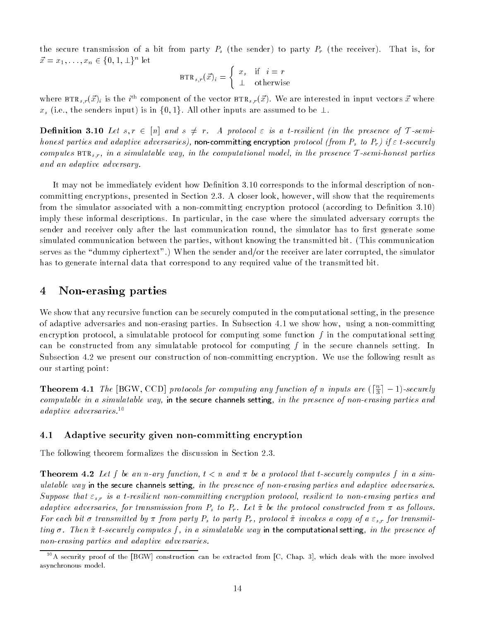the secure transmission of a bit from party  $P_s$  (the sender) to party  $P_r$  (the receiver). That is, for  $x = x_1, \ldots, x_n \in \{0, 1, \perp\}^{\sim}$  let

$$
\text{BTR}_{s,r}(\vec{x})_i = \begin{cases} x_s & \text{if } i = r \\ \perp & \text{otherwise} \end{cases}
$$

where  $\texttt{BTR}_{s,r}(x)_i$  is the  $i^{\text{...}}$  component of the vector  $\texttt{BTR}_{s,r}(x)$ . We are interested in input vectors  $x$  where  $x_s$  (i.e., the senders input) is in  $\{0, 1\}$ . All other inputs are assumed to be  $\perp$ .

**Definition 3.10** Let  $s, r \in [n]$  and  $s \neq r$ . A protocol  $\varepsilon$  is a t-resilient (in the presence of T-semihonest parties and adaptive adversaries), non-committing encryption protocol (from  $P_s$  to  $P_r$ ) if  $\varepsilon$  t-securely computes  $BTR<sub>s,r</sub>$ , in a simulatable way, in the computational model, in the presence  $T$ -semi-honest parties and an adaptive adversary.

It may not be immediately evident how Definition 3.10 corresponds to the informal description of noncommitting encryptions, presented in Section 2.3. A closer look, however, will show that the requirements from the simulator associated with a non-committing encryption protocol (according to Definition 3.10) imply these informal descriptions. In particular, in the case where the simulated adversary corrupts the sender and receiver only after the last communication round, the simulator has to first generate some simulated communication between the parties, without knowing the transmitted bit. (This communication serves as the "dummy ciphertext".) When the sender and/or the receiver are later corrupted, the simulator has to generate internal data that correspond to any required value of the transmitted bit.

#### 4Non-erasing parties

We show that any recursive function can be securely computed in the computational setting, in the presence of adaptive adversaries and non-erasing parties. In Subsection 4.1 we show how, using a non-committing encryption protocol, a simulatable protocol for computing some function  $f$  in the computational setting can be constructed from any simulatable protocol for computing f in the secure channels setting. In Subsection 4.2 we present our construction of non-committing encryption. We use the following result as our starting point:

**Theorem 4.1** The [BGW, CCD] protocols for computing any function of n inputs are  $\left(\frac{1}{3}\right] - 1$ )-securely computable in a simulatable way, in the secure channels setting, in the presence of non-erasing parties and adaptive adversaries.10

### 4.1 Adaptive security given non-committing encryption

The following theorem formalizes the discussion in Section 2.3.

**Theorem 4.2** Let f be an n-ary function,  $t < n$  and  $\pi$  be a protocol that t-securely computes f in a simulatable way in the secure channels setting, in the presence of non-erasing parties and adaptive adversaries. Suppose that  $\varepsilon_{s,r}$  is a t-resilient non-committing encryption protocol, resilient to non-erasing parties and adaptive adversaries, for transmission from  $P_s$  to  $P_r$ . Let  $\tilde{\pi}$  be the protocol constructed from  $\pi$  as follows. For each bit  $\sigma$  transmitted by  $\pi$  from party  $P_s$  to party  $P_r$ , protocol  $\tilde{\pi}$  invokes a copy of a  $\varepsilon_{s,r}$  for transmitting  $\sigma$ . Then  $\tilde{\pi}$  t-securely computes f, in a simulatable way in the computational setting, in the presence of non-erasing parties and adaptive adversaries.

<sup>&</sup>lt;sup>10</sup>A security proof of the [BGW] construction can be extracted from [C, Chap. 3], which deals with the more involved asynchronous model.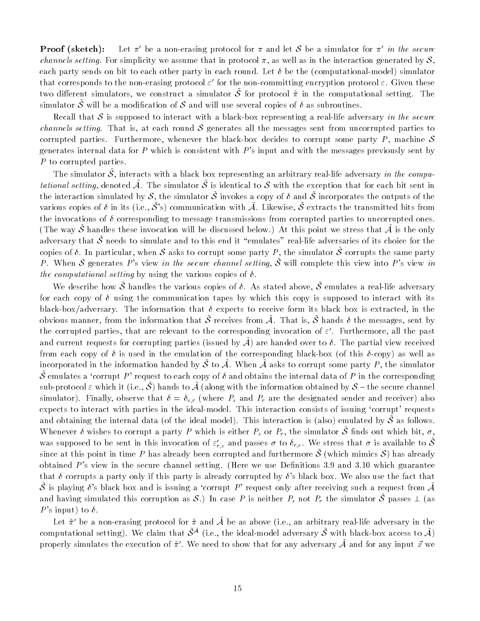**Proof (sketch):** Let  $\pi'$  be a non-erasing protocol for  $\pi$  and let S be a simulator for  $\pi'$  in the secure *channels setting*. For simplicity we assume that in protocol  $\pi$ , as well as in the interaction generated by  $S$ , each party sends on bit to each other party in each round. Let  $\delta$  be the (computational-model) simulator that corresponds to the non-erasing protocol  $\varepsilon$  for the non-committing encryption protocol  $\varepsilon$ . Given these two different simulators, we construct a simulator  $\sigma$  for protocol  $\pi$  in the computational setting. The simulator  $\tilde{\mathcal{S}}$  will be a modification of  $\mathcal S$  and will use several copies of  $\delta$  as subroutines.

Recall that S is supposed to interact with a black-box representing a real-life adversary in the secure *channels setting.* That is, at each round  $S$  generates all the messages sent from uncorrupted parties to corrupted parties. Furthermore, whenever the black-box decides to corrupt some party  $P$ , machine  $S$ generates internal data for P which is consistent with  $P$ 's input and with the messages previously sent by P to corrupted parties.

The simulator  $\mathcal{O}$ , interacts with a black box representing an arbitrary real-life adversary *in the compu* $t$ ational setting, denoted  $A$ . The simulator  $\phi$  is identical to  $\phi$  with the exception that for each bit sent in the interaction simulated by S, the simulator  $\tilde{\mathcal{S}}$  invokes a copy of  $\delta$  and  $\tilde{\mathcal{S}}$  incorporates the outputs of the various copies of  $\delta$  in its (i.e.,  $\tilde{S}$ 's) communication with  $\tilde{A}$ . Likewise,  $\tilde{S}$  extracts the transmitted bits from the invocations of  $\delta$  corresponding to message transmissions from corrupted parties to uncorrupted ones. (The way  $\mathcal O$  handles these invocation will be discussed below.) At this point we stress that A is the only adversary that  $\tilde{\mathcal{S}}$  needs to simulate and to this end it "emulates" real-life adversaries of its choice for the copies of  $v$ . In particular, when  $\sigma$  asks to corrupt some party  $P$  , the simulator  $\sigma$  corrupts the same party P. When S generates P's view in the secure channel setting,  $\tilde{S}$  will complete this view into P's view in the computational setting by using the various copies of  $\delta$ .

We describe how  $\sigma$  handles the various copies of  $v$ . As stated above,  $\sigma$  emulates a real-life adversary for each copy of  $\delta$  using the communication tapes by which this copy is supposed to interact with its black-box/adversary. The information that  $\delta$  expects to receive form its black box is extracted, in the obvious manner, from the information that  $\tilde{\mathcal{S}}$  receives from  $\tilde{\mathcal{A}}$ . That is,  $\tilde{\mathcal{S}}$  hands  $\delta$  the messages, sent by the corrupted parties, that are relevant to the corresponding invocation of  $\varepsilon$  . Furthermore, an the past  $$ and current requests for corrupting parties (issued by A~ ) are handed over to . The partial view received from each copy of  $\delta$  is used in the emulation of the corresponding black-box (of this  $\delta$ -copy) as well as incorporated in the information handed by  $\tilde{\mathcal{S}}$  to  $\tilde{\mathcal{A}}.$  When  $\tilde{\mathcal{A}}$  asks to corrupt some party  $P$  , the simulator S emulates a 'corrupt P' request to each copy of  $\delta$  and obtains the internal data of P in the corresponding sub-protocol  $\varepsilon$  which it (i.e.,  $\phi$  ) hands to  $\mathcal A$  (along with the information obtained by  $\phi$  —the secure channel simulator). Finally, observe that  $\delta = \delta_{s,r}$  (where  $P_s$  and  $P_r$  are the designated sender and receiver) also expects to interact with parties in the ideal-model. This interaction consists of issuing 'corrupt' requests and obtaining the internal data (of the ideal model). This interaction is (also) emulated by  $O$  as follows. Whenever  $\delta$  wishes to corrupt a party P which is either  $P_s$  or  $P_r$ , the simulator  $\tilde{S}$  finds out which bit,  $\sigma$ , was supposed to be sent in this invocation of  $\varepsilon_{r,s}$  and passes  $\sigma$  to  $v_{r,s}$ . We stress that  $\sigma$  is available to  $\sigma$ since at this point in time  $P$  has already been corrupted and furthermore  $\mathcal O$  (which mimics  $\mathcal O$  ) has already obtained  $P$ 's view in the secure channel setting. (Here we use Definitions 3.9 and 3.10 which guarantee that  $\delta$  corrupts a party only if this party is already corrupted by  $\delta$ 's black box. We also use the fact that  $\tilde{\mathcal{S}}$  is playing  $\delta$ 's black box and is issuing a 'corrupt P' request only after receiving such a request from  $\tilde{\mathcal{A}}$ and having simulated this corruption as  $O$ .) In case P is neither  $P_s$  not  $P_r$  the simulator  $O$  passes  $\perp$  (as P's input) to  $\delta$ .

Let  $\tilde{\pi}$  be a non-erasing protocol for  $\tilde{\pi}$  and  $\tilde{\mathcal{A}}$  be as above (i.e., an arbitrary real-life adversary in the computational setting). We claim that  $\tilde{\mathcal{S}}^{\tilde{\mathcal{A}}}$  (i.e., the ideal-model adversary  $\tilde{\mathcal{S}}$  with black-box access to  $\tilde{\mathcal{A}}$ ) properly simulates the execution of  $\pi$  . We need to show that for any adversary A and for any input  $x$  we  $-$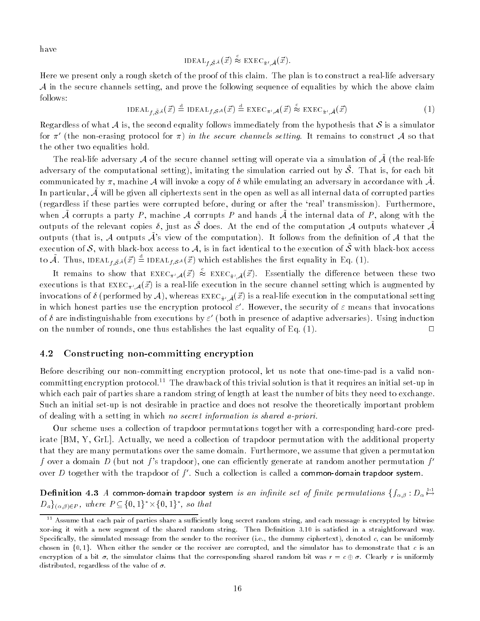have

$$
\text{IDEAL}_{f, \tilde{\mathcal{S}}^{\mathcal{A}}}(\vec{x}) \stackrel{\sim}{\approx} \text{ EXEC}_{\tilde{\pi}^{\prime}, \tilde{\mathcal{A}}}(\vec{x}).
$$

Here we present only a rough sketch of the proof of this claim. The plan is to construct a real-life adversary  $\mathcal A$  in the secure channels setting, and prove the following sequence of equalities by which the above claim follows:

 $\text{IDEAL}_{t, \tilde{S}^{\tilde{\mathcal{A}}}}(\vec{x}) \stackrel{\cong}{=} \text{IDEAL}_{t, \tilde{S}^{\mathcal{A}}}(\vec{x}) \stackrel{\cong}{=} \text{EXEC}_{\pi', \tilde{\mathcal{A}}}(\vec{x}) \approx \text{EXEC}_{\tilde{\pi}', \tilde{\mathcal{A}}}(\vec{x})$  (1)

Regardless of what A is, the second equality follows immediately from the hypothesis that S is a simulator for  $\pi'$  (the non-erasing protocol for  $\pi$ ) in the secure channels setting. It remains to construct A so that the other two equalities hold.

The real-life adversary A of the secure channel setting will operate via a simulation of  $\tilde{\cal A}$  (the real-life adversary of the computational setting), imitating the simulation carried out by  $\phi$ . That is, for each bit  $\phi$ communicated by  $\pi$ , machine  $\mathcal A$  will invoke a copy of  $\sigma$  while emulating an adversary in accordance with  $\mathcal A$ . In particular,  $\tilde{\cal A}$  will be given all ciphertexts sent in the open as well as all internal data of corrupted parties (regardless if these parties were corrupted before, during or after the `real' transmission). Furthermore, when  $A$  corrupts a party  $P$ , machine  $A$  corrupts  $P$  and hands  $A$  the internal data or  $P$ , along with the outputs of the relevant copies  $\delta$ , just as  $\tilde{\mathcal{S}}$  does. At the end of the computation A outputs whatever  $\tilde{\mathcal{A}}$ outputs (that is, A outputs  $\tilde{\mathcal{A}}$ 's view of the computation). It follows from the definition of A that the execution of S, with black-box access to A, is in fact identical to the execution of  $\tilde{S}$  with black-box access to A. Thus, IDEAL<sub>t,SA</sub> $(x)$  = IDEAL<sub>t,SA</sub> $(x)$  which establishes the first equality in Eq. (1).

It remains to show that  $\text{EXEC}_{\pi',\mathcal{A}}(\vec{x}) \approx \text{EXEC}_{\tilde{\pi}',\tilde{\mathcal{A}}}(\vec{x}).$  Essentially the difference between these two executions is that  $\text{EXEC}_{\pi',\mathcal{A}}(\vec{x})$  is a real-life execution in the secure channel setting which is augmented by invocations of  $\delta$  (performed by A), whereas EXEC<sub> $\tilde{\pi}'$ ,  $\tilde{\mathcal{A}}(\vec{x})$  is a real-life execution in the computational setting</sub> in which honest parties use the encryption protocol  $\varepsilon$  . However, the security of  $\varepsilon$  means that invocations of  $v$  are indistinguishable from executions by  $\varepsilon$  -(both in presence of adaptive adversaries). Using induction on the number of rounds, one thus establishes the last equality of Eq.  $(1)$ .  $\Box$ 

### 4.2 Constructing non-committing encryption

Before describing our non-committing encryption protocol, let us note that one-time-pad is a valid noncommitting encryption protocol.<sup>11</sup> The drawback of this trivial solution is that it requires an initial set-up in which each pair of parties share a random string of length at least the number of bits they need to exchange. Such an initial set-up is not desirable in practice and does not resolve the theoretically important problem of dealing with a setting in which no secret information is shared a-priori.

Our scheme uses a collection of trapdoor permutations together with a corresponding hard-core predicate [BM, Y, GrL]. Actually, we need a collection of trapdoor permutation with the additional property that they are many permutations over the same domain. Furthermore, we assume that given a permutation f over a domain D (but not f's trapdoor), one can efficiently generate at random another permutation  $f'$ over  $D$  together with the trapdoor of  $f^\prime$ . Such a collection is called a **common-domain trapdoor system**.

 ${\bf D}$ efinition 4.3  $A$  common-domain trapdoor system *is an infinite set of finite permutations*  $\{f_{{\alpha},{\beta}}:{D_{\alpha}} \mapsto$  $D_{a} \restriction_{(\alpha,\beta)\in P}$ , where  $\Gamma \subseteq \{0,1\}^\circ \times \{0,1\}^\circ$ , so that

 $^\circ$  - Assume that each pair of parties share a sufficiently long secret random string, and each message is encrypted by bitwise xor-ing it with a new segment of the shared random string. Then Definition 3.10 is satisfied in a straightforward way. Specifically, the simulated message from the sender to the receiver (i.e., the dummy ciphertext), denoted  $c$ , can be uniformly chosen in  $\{0,1\}$ . When either the sender or the receiver are corrupted, and the simulator has to demonstrate that c is an encryption of a bit  $\sigma$ , the simulator claims that the corresponding shared random bit was  $r = c \oplus \sigma$ . Clearly r is uniformly distributed, regardless of the value of  $\sigma$ .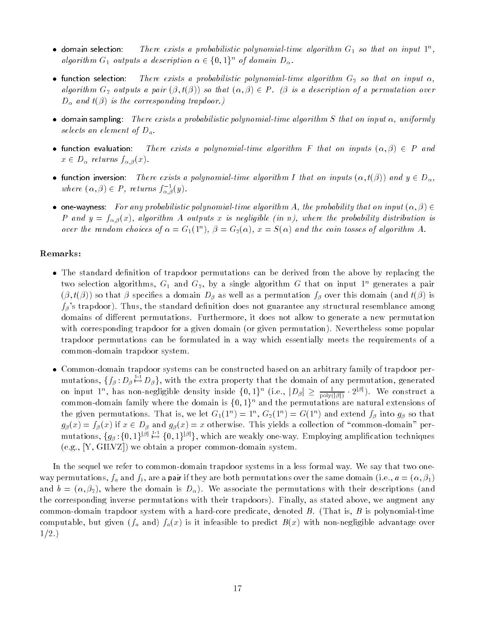- domain selection: There exists a probabilistic polynomial-time algorithm  $G_1$  so that on input  $1^n$ , algorithm  $G_1$  outputs a description  $\alpha \in \{0,1\}^n$  of domain  $D_{\alpha}$ .
- function selection: There exists a probabilistic polynomial-time algorithm  $G_2$  so that on input  $\alpha$ , algorithm  $G_2$  outputs a pair  $(\beta, t(\beta))$  so that  $(\alpha, \beta) \in P$ . ( $\beta$  is a description of a permutation over  $D_{\alpha}$  and  $t(\beta)$  is the corresponding trapdoor.)
- domain sampling: There exists a probabilistic polynomial-time algorithm S that on input  $\alpha$ , uniformly selects an element of  $D_a$ .
- function evaluation: There exists a polynomial-time algorithm F that on inputs  $(\alpha, \beta) \in P$  and  $x \in D_\alpha$  returns  $f_{\alpha,\beta}(x)$ .
- function inversion: There exists a polynomial-time algorithm I that on inputs  $(\alpha, t(\beta))$  and  $y \in D_{\alpha}$ , where  $(\alpha, \beta) \in P$ , returns  $J_{\alpha, \beta}(y)$ .
- one-wayness: For any probabilistic polynomial-time algorithm A, the probability that on input  $(\alpha, \beta) \in$ P and  $y = f_{\alpha,\beta}(x)$ , algorithm A outputs x is negligible (in n), where the probability distribution is over the random choices of  $\alpha = G_1(T)$ ,  $\rho = G_2(\alpha)$ ,  $x = S(\alpha)$  and the coin tosses of algorithm A.

### Remarks:

- The standard definition of trapdoor permutations can be derived from the above by replacing the two selection algorithms,  $G_1$  and  $G_2$ , by a single algorithm G that on input  $1^n$  generates a pair  $(\beta, t(\beta))$  so that  $\beta$  specifies a domain  $D_\beta$  as well as a permutation  $f_\beta$  over this domain (and  $t(\beta)$  is  $f_{\beta}$ 's trapdoor). Thus, the standard definition does not guarantee any structural resemblance among domains of different permutations. Furthermore, it does not allow to generate a new permutation with corresponding trapdoor for a given domain (or given permutation). Nevertheless some popular trapdoor permutations can be formulated in a way which essentially meets the requirements of a common-domain trapdoor system.
- Common-domain trapdoor systems can be constructed based on an arbitrary family of trapdoor permutations,  $\{f_\beta: D_\beta \mapsto D_\beta\}$ , with the extra property that the domain of any permutation, generated on input 1<sup>n</sup>, has non-negligible density inside  $\{0, 1\}^n$  (i.e.,  $|D_\beta| \geq \frac{1}{\text{poly}(|\beta|)} \cdot 2^{|P|}$ ). We construct a common-domain family where the domain is  $\{0,1\}^n$  and the permutations are natural extensions of the given permutations. That is, we let  $G_1(1^n) = 1^n$ ,  $G_2(1^n) = G(1^n)$  and extend  $f_\beta$  into  $g_\beta$  so that  $g_{\beta}(x) = f_{\beta}(x)$  if  $x \in D_{\beta}$  and  $g_{\beta}(x) = x$  otherwise. This yields a collection of "common-domain" permutations,  $\{g_\beta:\{0,1\}^{|\beta|}\stackrel{1:1}{\mapsto}\{0,1\}^{|\beta|}\}$ , which are weakly one-way. Employing amplification techniques (e.g., [Y, GILVZ]) we obtain a proper common-domain system.

In the sequel we refer to common-domain trapdoor systems in a less formal way. We say that two oneway permutations,  $f_a$  and  $f_b$ , are a pair if they are both permutations over the same domain (i.e.,  $a = (\alpha, \beta_1)$ and  $b = (\alpha, \beta_2)$ , where the domain is  $D_{\alpha}$ ). We associate the permutations with their descriptions (and the corresponding inverse permutations with their trapdoors). Finally, as stated above, we augment any common-domain trapdoor system with a hard-core predicate, denoted  $B$ . (That is,  $B$  is polynomial-time computable, but given  $(f_a \text{ and } f_a(x)$  is it infeasible to predict  $B(x)$  with non-negligible advantage over  $1/2.$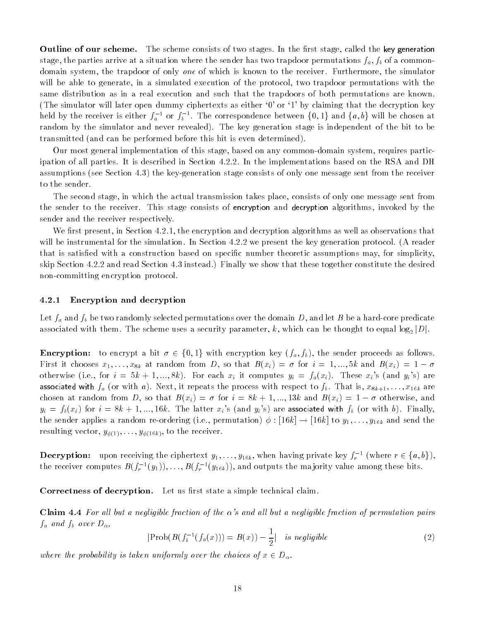Outline of our scheme. The scheme consists of two stages. In the first stage, called the key generation stage, the parties arrive at a situation where the sender has two trapdoor permutations  $f_a, f_b$  of a commondomain system, the trapdoor of only *one* of which is known to the receiver. Furthermore, the simulator will be able to generate, in a simulated execution of the protocol, two trapdoor permutations with the same distribution as in a real execution and such that the trapdoors of both permutations are known. (The simulator will later open dummy ciphertexts as either `0' or `1' by claiming that the decryption key held by the receiver is either  $f_a$   $\cdot$  or  $f_b$   $\cdot$  . The correspondence between  $\{0,1\}$  and  $\{a,b\}$  will be chosen at random by the simulator and never revealed). The key generation stage is independent of the bit to be transmitted (and can be performed before this bit is even determined).

Our most general implementation of this stage, based on any common-domain system, requires participation of all parties. It is described in Section 4.2.2. In the implementations based on the RSA and DH assumptions (see Section 4.3) the key-generation stage consists of only one message sent from the receiver to the sender.

The second stage, in which the actual transmission takes place, consists of only one message sent from the sender to the receiver. This stage consists of encryption and decryption algorithms, invoked by the sender and the receiver respectively.

We first present, in Section 4.2.1, the encryption and decryption algorithms as well as observations that will be instrumental for the simulation. In Section 4.2.2 we present the key generation protocol. (A reader that is satisfied with a construction based on specific number theoretic assumptions may, for simplicity, skip Section 4.2.2 and read Section 4.3 instead.) Finally we show that these together constitute the desired non-committing encryption protocol.

#### 4.2.1 Encryption and decryption

Let  $f_a$  and  $f_b$  be two randomly selected permutations over the domain D, and let B be a hard-core predicate associated with them. The scheme uses a security parameter, k, which can be thought to equal  $\log_2|D|$ .

**Encryption:** to encrypt a bit  $\sigma \in \{0, 1\}$  with encryption key  $(f_a, f_b)$ , the sender proceeds as follows. First it chooses  $x_1, \ldots, x_{8k}$  at random from D, so that  $B(x_i) = \sigma$  for  $i = 1, \ldots, 5k$  and  $B(x_i) = 1 - \sigma$ otherwise (i.e., for  $i = 5k + 1, ..., 8k$ ). For each  $x_i$  it computes  $y_i = f_a(x_i)$ . These  $x_i$ 's (and  $y_i$ 's) are associated with  $f_a$  (or with a). Next, it repeats the process with respect to  $f_b$ . That is,  $x_{8k+1}, \ldots, x_{16k}$  are chosen at random from D, so that  $B(x_i) = \sigma$  for  $i = 8k + 1, ..., 13k$  and  $B(x_i) = 1 - \sigma$  otherwise, and  $y_i = f_b(x_i)$  for  $i = 8k + 1, ..., 16k$ . The latter  $x_i$ 's (and  $y_i$ 's) are associated with  $f_b$  (or with b). Finally, the sender applies a random re-ordering (i.e., permutation)  $\phi : [16k] \to [16k]$  to  $y_1, \ldots, y_{16k}$  and send the resulting vector,  $y_{\phi(1)}, \ldots, y_{\phi(16k)}$ , to the receiver.

**Decryption:** upon receiving the ciphertext  $y_1, \ldots, y_{16k}$ , when having private key  $f_r$  (where  $r \in \{a, o\}$ ), the receiver computes  $B(f_r^{-1}(y_1)), \ldots, B(f_r^{-1}(y_{16k})),$  and outputs the majority value among these bits.

Correctness of decryption. Let us first state a simple technical claim.

Claim 4.4 For all but a negligible fraction of the  $\alpha$ 's and all but a negligible fraction of permutation pairs  $f_a$  and  $f_b$  over  $D_\alpha$ ,

$$
|\text{Prob}(B(f_b^{-1}(f_a(x))) = B(x)) - \frac{1}{2}| \text{ is negligible}
$$
\n
$$
(2)
$$

where the probability is taken uniformly over the choices of  $x \in D_\alpha$ .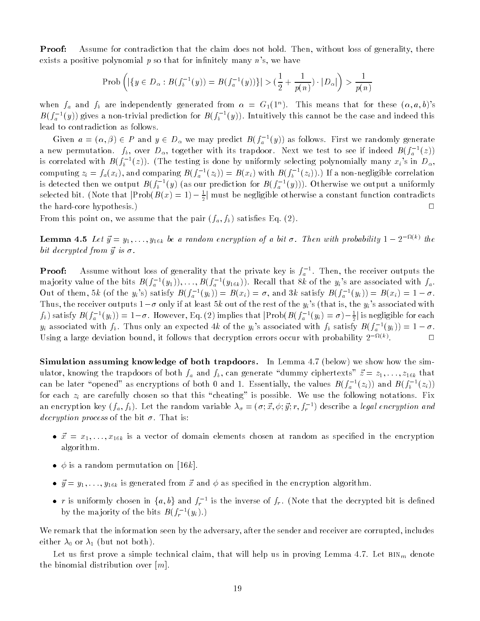Proof: Assume for contradiction that the claim does not hold. Then, without loss of generality, there exists a positive polynomial  $p$  so that for infinitely many  $n$ 's, we have

$$
\mathrm{Prob}\left(|\{y \in D_\alpha : B(f_\mathfrak{b}^{-1}(y)) = B(f_\mathfrak{a}^{-1}(y))\}| > (\frac{1}{2} + \frac{1}{p(n)}) \cdot |D_\alpha|\right) > \frac{1}{p(n)}
$$

when  $f_a$  and  $f_b$  are independently generated from  $\alpha = G_1(1^n)$ . This means that for these  $(\alpha, a, b)$ 's  $B(f_a^{-1}(y))$  gives a non-trivial prediction for  $B(f_b^{-1}(y))$ . Intuitively this cannot be the case and indeed this lead to contradiction as follows.

Given  $a = (\alpha, \beta) \in P$  and  $y \in D_{\alpha}$  we may predict  $B(f_a - (y))$  as follows. First we randomly generate a new permutation.  $f_b$ , over  $D_\alpha$ , together with its trapdoor. Next we test to see if indeed  $B(f_a^{-1}(z))$ is correlated with  $B(f_b^{-1}(z))$ . (The testing is done by uniformly selecting polynomially many  $x_i$ 's in  $D_\alpha$ , computing  $z_i = f_a(x_i)$ , and comparing  $B(f_a^-(z_i)) = B(x_i)$  with  $B(f_b^-(z_i))$ . If a non-negligible correlation is detected then we output  $B(f_b^{-1}(y))$  (as our prediction for  $B(f_a^{-1}(y)))$ . Otherwise we output a uniformly selected bit. (Note that  $\vert {\rm Prob}(B(x) = 1) - \frac{1}{2} \vert$  must be negligible otherwise a constant function contradicts the hard-core hypothesis.) <sup>2</sup>

From this point on, we assume that the pair  $(f_a, f_b)$  satisfies Eq. (2).

**Lemma 4.5** Let  $y = y_1, \ldots, y_{16k}$  be a random encryption of a bit  $\sigma$ . Then with probability  $1 - Z$  and  $k$ bit decrypted from  $\vec{y}$  is  $\sigma$ .

**Proof:** Assume without loss of generality that the private key is  $f_a$  . Then, the receiver outputs the majority value of the bits  $B(f_a^{-1}(y_1)), \ldots, B(f_a^{-1}(y_{16k}))$ . Recall that 8k of the  $y_i$ 's are associated with  $f_a$ . Out of them, 5k (of the  $y_i$ 's) satisfy  $B(f_a^{-1}(y_i)) = B(x_i) = \sigma$ , and 3k satisfy  $B(f_a^{-1}(y_i)) = B(x_i) = 1 - \sigma$ . Thus, the receiver outputs  $1-\sigma$  only if at least 5k out of the rest of the  $y_i$ 's (that is, the  $y_i$ 's associated with  $f_b$ ) satisfy  $B(f_a^{-1}(y_i)) = 1-\sigma$ . However, Eq. (2) implies that  $|Y$ rob( $B(f_a^{-1}(y_i) = \sigma) - \frac{1}{2}|$  is negligible for each  $y_i$  associated with  $f_b$ . Thus only an expected 4k of the  $y_i$ 's associated with  $f_b$  satisfy  $B(f_a^{-1}(y_i)) = 1 - \sigma$ . Using a large deviation bound, it follows that decryption errors occur with probability  $2^{-(\kappa+1)}$ .

Simulation assuming knowledge of both trapdoors. In Lemma 4.7 (below) we show how the simulator, knowing the trapdoors of both  $f_a$  and  $f_b$ , can generate "dummy ciphertexts"  $\vec{z} = z_1, \ldots, z_{16k}$  that can be later "opened" as encryptions of both 0 and 1. Essentially, the values  $B(f_a^{-1}(z_i))$  and  $B(f_b^{-1}(z_i))$ for each  $z_i$  are carefully chosen so that this "cheating" is possible. We use the following notations. Fix an encryption key (  $f_a, f_b$  ). Let the random variable  $\lambda_\sigma = (\sigma;x,\phi;y;r,f_r]$  ) describe a *legal encryption and* decryption process of the bit  $\sigma$ . That is:

- $\vec{x} = x_1, \ldots, x_{16k}$  is a vector of domain elements chosen at random as specified in the encryption algorithm.
- $\phi$  is a random permutation on [16k].
- $\vec{y} = y_1, \ldots, y_{16k}$  is generated from  $\vec{x}$  and  $\phi$  as specified in the encryption algorithm.
- $\bullet$  r is unflormly chosen in  $\{a, b\}$  and  $f_r$  is the inverse of  $f_r$ . (Note that the decrypted bit is defined by the majority of the bits  $B(f_r^{-1}(y_i),f)$

We remark that the information seen by the adversary, after the sender and receiver are corrupted, includes either  $\lambda_0$  or  $\lambda_1$  (but not both).

Let us first prove a simple technical claim, that will help us in proving Lemma 4.7. Let  $BIN_m$  denote the binomial distribution over  $[m]$ .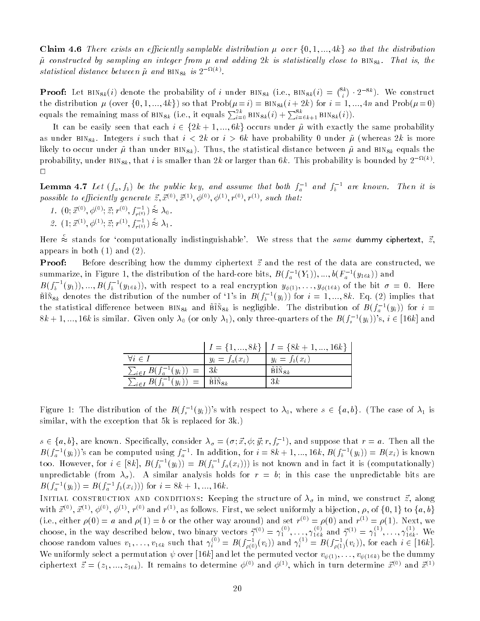**Claim 4.6** There exists an efficiently samplable distribution  $\mu$  over  $\{0, 1, ..., 4k\}$  so that the distribution  $\tilde{\mu}$  constructed by sampling an integer from  $\mu$  and adding 2k is statistically close to BIN<sub>8k</sub>. That is, the statistical aistance between  $\mu$  and  $\text{Bins}_k$  is 2  $\cdots$ .

**Proof:** Let  $\texttt{BIN}_{8k}(i)$  denote the probability of i under  $\texttt{BIN}_{8k}$  (i.e.,  $\texttt{BIN}_{8k}(i) = \binom{8k}{i} \cdot 2^{-8k}$ ). We construct the distribution  $\mu$  (over  $\{0, 1, ..., 4k\}$ ) so that  $Prob(\mu = i) = BIN_{8k}(i + 2k)$  for  $i = 1, ..., 4n$  and  $Prob(\mu = 0)$ equals the remaining mass of BIN<sub>8k</sub> (i.e., it equals  $\sum_{i=0}^{2k}$  BIN<sub>8k</sub> $(i) + \sum_{i=6k+1}^{8k}$  BIN<sub>8k</sub> $(i)$ ).

It can be easily seen that each  $i \in \{2k + 1, ..., 6k\}$  occurs under  $\tilde{\mu}$  with exactly the same probability as under BIN<sub>8k</sub>. Integers i such that  $i < 2k$  or  $i > 6k$  have probability 0 under  $\tilde{\mu}$  (whereas  $2k$  is more likely to occur under  $\tilde{\mu}$  than under BIN<sub>8k</sub>). Thus, the statistical distance between  $\tilde{\mu}$  and BIN<sub>8k</sub> equals the probability, under  $\mathsf{BIN}_{8k},$  that  $i$  is smaller than  $2k$  or larger than  $6k$  . This probability is bounded by  $2^{-(k-2)}$ .  $\Box$ 

**Lemma 4.**1 Let  $(I_a, J_b)$  be the public key, and assume that both  $J_a$  and  $J_b$  are known. Then it is possible to efficiently generate  $\vec{z}, \vec{x}^{(0)}, \vec{x}^{(1)}, \phi^{(0)}, \phi^{(1)}, r^{(0)}, r^{(1)},$  such that:

- $1. \ \ (0; \vec{x}^{(0)}, \phi^{(0)}; \vec{z}; r^{(0)}, f_{r^{(0)}}^{-1}) \approx \lambda_0.$
- 2.  $(1; \vec{x}^{(1)}, \phi^{(1)}; \vec{z}; r^{(1)}, f_{r^{(1)}}^{-1}) \approx \lambda_1.$

Here  $\stackrel{\circ}{\approx}$  stands for 'computationally indistinguishable'. We stress that the same dummy ciphertext,  $\vec{z}$ , appears in both (1) and (2).

**Proof:** Before describing how the dummy ciphertext  $\vec{z}$  and the rest of the data are constructed, we summarize, in Figure 1, the distribution of the hard-core bits,  $B(f_a^{-1}(Y_1)),..., 0 (F_a^{-1}(Y_{16k}))$  and

 $B(f_b^{-1}(y_1)),...,B(f_b^{-1}(y_{16k})),$  with respect to a real encryption  $y_{\phi(1)},\ldots,y_{\phi(16k)}$  of the bit  $\sigma~=~0$ . Here  $B\ddot{X}_{8k}$  denotes the distribution of the number of '1's in  $B(f_b^{-1}(y_i))$  for  $i = 1, ..., 8k$ . Eq. (2) implies that the statistical difference between  $B_1N_{8k}$  and  $B_1N_{8k}$  is negligible. The distribution of  $B(f_a^{-1}(y_i))$  for  $i=1$  $8k+1,...,16k$  is similar. Given only  $\lambda_0$  (or only  $\lambda_1$ ), only three-quarters of the  $B(f_s^{-1}(y_i))'$ s,  $i\in[16k]$  and

|                                               |                                | $I = \{1, , 8k\}$ $I = \{8k + 1, , 16k\}$ |
|-----------------------------------------------|--------------------------------|-------------------------------------------|
| $\forall i \in I$                             | $y_i = f_a(x_i)$               | $y_i = f_b(x_i)$                          |
| $\sum_{i \in I} B(f_a^{-1}(y_i)) = \sqrt{3k}$ |                                | ~~~<br>$BIN_{8k}$                         |
| $\sum_{i \in I} B(f_b^{-1}(y_i))$             | ---<br>$=$   BIN <sub>8k</sub> | 3k                                        |

Figure 1: The distribution of the  $B(f_*^{-1}(y_i))$ 's with respect to  $\lambda_0$ , where  $s \in \{a, b\}$ . (The case of  $\lambda_1$  is similar, with the exception that 5k is replaced for 3k.)

 $s \in \{a, v\}$ , are known. Specifically, consider  $\lambda_\sigma = (\sigma; x, \phi; y; r, f_r$  ), and suppose that  $r = a$ . Then all the  $B(f_a^{-1}(y_i))$ 's can be computed using  $f_a^{-1}$ . In addition, for  $i = 8k + 1, ..., 16k$ ,  $B(f_b^{-1}(y_i)) = B(x_i)$  is known too. However, for  $i \in [8k]$ ,  $B(f_b^{-1}(y_i)) = B(f_b^{-1}f_a(x_i)))$  is not known and in fact it is (computationally) unpredictable (from  $\lambda_{\sigma}$ ). A similar analysis holds for  $r = b$ ; in this case the unpredictable bits are  $D(f_a^{-1}(y_i)) = D(f_a^{-1}f_b(x_i)))$  for  $i = \delta \kappa + 1, ..., 16\kappa$ .

INITIAL CONSTRUCTION AND CONDITIONS: Reeping the structure of  $\lambda_{\sigma}$  in mind, we construct  $z$ , along with  $x \leq x$ ,  $x \in \emptyset$ ,  $\varphi \leq x$ ,  $r \leq \lambda$  and  $r \leq \lambda$ , as follows. First, we select uniformly a bijection,  $\rho$ , of  $\{0, 1\}$  to  $\{a, b\}$ (i.e., either  $\rho(0) = a$  and  $\rho(1) = b$  or the other way around) and set  $r^{2} \geq \rho(0)$  and  $r^{2} \geq \rho(1)$ . Next, we choose, in the way described below, two binary vectors  $\gamma^{(0)} = \gamma_1^{(0)}, \ldots, \gamma_{16k}^{(6)}$  and  $\gamma^{(1)} = \gamma_1^{(0)}, \ldots, \gamma_{16k}^{(6)}$ . We choose random values  $v_1,\ldots,v_{16k}$  such that  $\gamma_i^{(i)}=B(f_{\rho(0)}(v_i))$  and  $\gamma_i^{(i)}=B(f_{\rho(1)}(v_i)),$  for each  $i\in[16k].$ We uniformly select a permutation  $\psi$  over [16k] and let the permuted vector  $v_{\psi(1)}, \ldots, v_{\psi(16k)}$  be the dummy ciphertext  $\vec{z} = (z_1, ..., z_{16k})$ . It remains to determine  $\phi^{(0)}$  and  $\phi^{(1)}$ , which in turn determine  $\vec{x}^{(0)}$  and  $\vec{x}^{(1)}$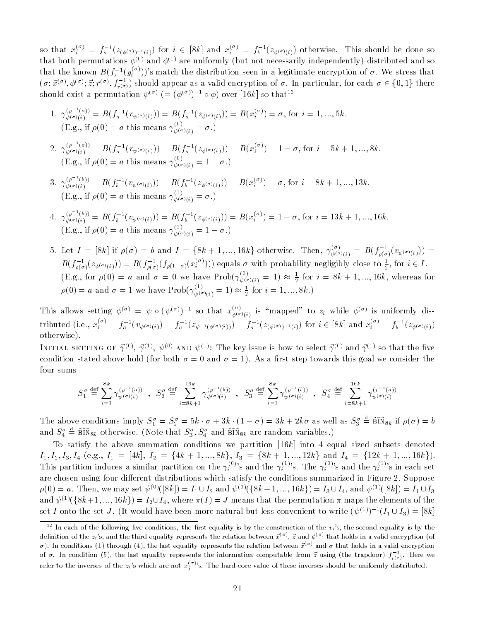so that  $x_i^{\geq i} = f_a^{-1}(z_{(\phi(\sigma))^{-1}(i)})$  for  $i \in [8k]$  and  $x_i^{\geq i} = f_b^{-1}(z_{\phi(\sigma)(i)})$  otherwise. This should be done so that both permutations  $\phi^{(0)}$  and  $\phi^{(1)}$  are uniformly (but not necessarily independently) distributed and so that the known  $B(f^{-1}_s(y_i^{(\sigma)}))$ 's match the distribution seen in a legitimate encryption of  $\sigma.$  We stress that  $(\sigma; x^{\circ\circ}, \phi^{\circ\circ}; z; r^{\circ\circ}, f_{r(\sigma)})$  should appear as a valid encryption of  $\sigma.$  In particular, for each  $\sigma\in\{0,1\}$  there should exist a permutation  $\psi^{(\sigma)}$  (=  $(\phi^{(\sigma)})^{-1} \circ \phi$ ) over [16k] so that<sup>12</sup>

- 1.  $\gamma_{\psi(\sigma)(i)}^{(\rho^{-1}(a))} = B(f_a^{-1}(v_{\psi(\sigma)(i)})) = B(f_a^{-1}(z_{\phi(\sigma)(i)})) = B(x_i^{(\sigma)}) = \sigma$ , for  $i = 1, ..., 5k$ .  $(E.g., if \rho(0) = a this means \gamma_{\psi(\sigma)(i)}^{\sigma} = \sigma.)$
- $2. \ \gamma_{\psi(\sigma)(i)}^{(\rho^{-1}(a))} = B(f_a^{-1}(v_{\psi(\sigma)(i)})) = B(f_a^{-1}(z_{\phi(\sigma)(i)})) = B(x_i^{(\sigma)}) = 1 \sigma$ , for  $i = 5k + 1, ..., 8k$ .  $(E.g., it \nvert \rho(0) = a \nvert t$  and this means  $\gamma_{\psi(\sigma)(i)}^{\sim} = 1 - \sigma$ .
- 3.  $\gamma_{\psi(\sigma)(i)}^{(\rho^{-1}(b))} = B(f_b^{-1}(v_{\psi(\sigma)(i)})) = B(f_b^{-1}(z_{\phi(\sigma)(i)})) = B(x_i^{(\sigma)}) = \sigma$ , for  $i = 8k + 1, ..., 13k$ .  $(E.g., it \nvert \rho(0) = a \nvert t$  is means  $\gamma_{\psi(\sigma)(i)}^{\sigma} = \sigma$ .
- $4. \ \gamma_{\psi(\sigma)(i)}^{(\rho^{-1}(b))} = B(f_b^{-1}(v_{\psi(\sigma)(i)})) = B(f_b^{-1}(z_{\phi(\sigma)(i)})) = B(x_i^{(\sigma)}) = 1 \sigma$ , for  $i = 13k + 1, ..., 16k$ . (E.g., if  $\rho(0) = a$  this means  $\gamma_{\psi(\sigma)(i)}^{\sigma} = 1 - \sigma$ .)
- 5. Let  $I = [8k]$  if  $\rho(\sigma) = b$  and  $I = \{8k+1, ..., 16k\}$  otherwise. Then,  $\gamma_{\psi(\sigma)(i)}^{(i)} = B(f_{\rho(\sigma)}(v_{\psi(\sigma)(i)})) =$  $B(f_{\rho(\sigma)}(z_{\phi(\sigma)(i)})) = B(f_{\rho(\sigma)}(f_{\rho(1-\sigma)}(x_i^{+\prime}) ) )$  equals  $\sigma$  with probability negligibly close to  $\frac{1}{2},$  for  $i \in I$ . (E.g., for  $\rho(0) = a$  and  $\sigma = 0$  we have Prob $(\gamma_{\psi(\sigma)(i)}^{\vee} = 1) \approx \frac{1}{2}$  for  $i = 8k + 1, ..., 16k$ , whereas for  $\rho(0) = a$  and  $\sigma = 1$  we have  $Prob(\gamma_{\psi}^{<\gamma}(\sigma)_{(i)} = 1) \approx \frac{1}{2}$  for  $i = 1, ..., 8k$ .

This allows setting  $\phi^{(0)} = \psi \circ (\psi^{(0)})^{-1}$  so that  $x_{\phi(\sigma)(i)}^{\vee}$  is "mapped" to  $z_i$  while  $\phi^{(0)}$  is uniformly distributed (i.e.,  $x_i^{\gamma} = f_a^{-1}(v_{\psi(\sigma)(i)}) = f_a^{-1}(z_{\psi^{-1}(\phi(\sigma)(i)})) = f_a^{-1}(z_{(\phi(\sigma))^{-1}(i)})$  for  $i \in [8k]$  and  $x_i^{\gamma} = f_b^{-1}(z_{\phi(\sigma)(i)})$ otherwise).

INITIAL SETTING OF  $\gamma \ll$ ,  $\gamma \ll$ ,  $\psi \ll$  and  $\psi \ll$ . The key issue is now to select  $\gamma \ll$  and  $\gamma \ll$  so that the hye condition stated above hold (for both  $\sigma = 0$  and  $\sigma = 1$ ). As a first step towards this goal we consider the four sums

$$
S_1^\sigma \stackrel{\text{def}}{=} \sum_{i=1}^{8k} \gamma_{\psi^{(\sigma)}(i)}^{(\rho^{-1}(a))} \;\; , \;\; S_2^\sigma \stackrel{\text{def}}{=} \sum_{i=8k+1}^{16k} \gamma_{\psi^{(\sigma)}(i)}^{(\rho^{-1}(b))} \;\; , \;\; S_3^\sigma \stackrel{\text{def}}{=} \sum_{i=1}^{8k} \gamma_{\psi^{(\sigma)}(i)}^{(\rho^{-1}(b))} \;\; , \;\; S_4^\sigma \stackrel{\text{def}}{=} \sum_{i=8k+1}^{16k} \gamma_{\psi^{(\sigma)}(i)}^{(\rho^{-1}(a))}
$$

The above conditions imply  $S_1^o = S_2^o = 5k \cdot \sigma + 3k \cdot (1-\sigma) = 3k + 2k\sigma$  as well as  $S_3^o = BIN_{8k}$  if  $\rho(\sigma) = b$ and  $S_4^o \equiv {\rm BIN}_{8k}$  otherwise. (Note that  $S_3^o, S_4^o$  and  ${\rm BIN}_{8k}$  are random variables.)

To satisfy the above summation conditions we partition  $[16k]$  into 4 equal sized subsets denoted I1; I2; I3; I4 (e.g., I1 = [4k], I2 <sup>=</sup> f4k + 1; :::; 8kg, I3 <sup>=</sup> f8k + 1; :::; 12kg and I4 <sup>=</sup> f12k + 1; :::; 16kg). This partition induces a similar partition on the  $\gamma_i^{(v')}$ 's and the  $\gamma_i^{(1')}$ 's. The  $\gamma_i^{(v')}$ 's and the  $\gamma_i^{(1')}$ 's in each set are chosen using four different distributions which satisfy the conditions summarized in Figure 2. Suppose  $\rho(0) = a$ . Then, we may set  $\psi^{(0)}([8k]) = I_1 \cup I_2$  and  $\psi^{(0)}(\{8k+1,...,16k\}) = I_3 \cup I_4$ , and  $\psi^{(1)}([8k]) = I_1 \cup I_3$ and  $\psi^{(1)}(\{8k+1,..., 16k\}) = I_2 \cup I_4$ , where  $\pi(I) = J$  means that the permutation  $\pi$  maps the elements of the set I onto the set J. (It would have been more natural but less convenient to write  $(\psi^{(1)})^{-1}(I_1 \cup I_3) = [8k]$ 

<sup>&</sup>lt;sup>12</sup> In each of the following five conditions, the first equality is by the construction of the  $v_i$ 's, the second equality is by the definition of the  $z_i$ 's, and the third equality represents the relation between  $\vec{x}^{(\sigma)}$ ,  $\vec{z}$  and  $\phi^{(\sigma)}$  that holds in a valid encryption (of  $\sigma$ ). In conditions (1) through (4), the last equality represents the relation between  $\vec{x}^{(\sigma)}$  and  $\sigma$  that holds in a valid encryption of  $\sigma$ . In condition (5), the last equality represents the information computable from  $z$  using (the trapdoor)  $J_{_r(\sigma)}$  . Here we refer to the inverses of the  $z_i$ 's which are not  $x_i^{(o)}$ 's. The hard-core value of these inverses should be uniformly distributed.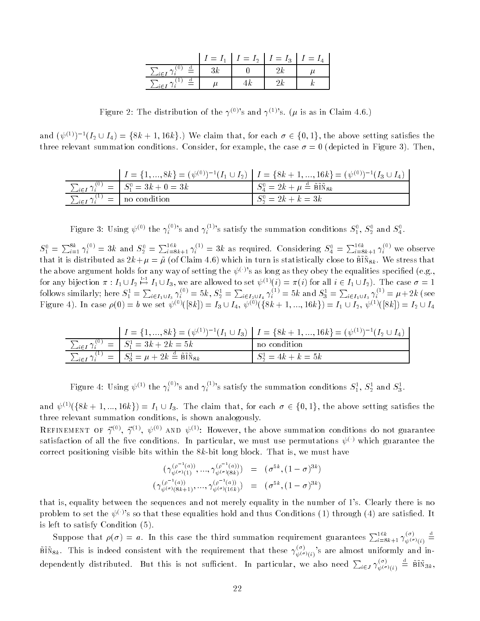|                   | $I = I_1$ | $\mid I = I_2 \mid I = I_3 \mid I = I_4$ |  |
|-------------------|-----------|------------------------------------------|--|
| $\stackrel{a}{=}$ |           |                                          |  |
|                   |           |                                          |  |

Figure 2: The distribution of the  $\gamma^{(0)}$ 's and  $\gamma^{(1)}$ 's. ( $\mu$  is as in Claim 4.6.)

and  $(\psi^{(1)})^{-1}(I_2 \cup I_4) = \{8k+1, 16k\}$ .) We claim that, for each  $\sigma \in \{0,1\}$ , the above setting satisfies the three relevant summation conditions. Consider, for example, the case  $\sigma = 0$  (depicted in Figure 3). Then,

|                                                         | $I = \{1, , 8k\} = (\psi^{(0)})^{-1}(I_1 \cup I_2)$ $I = \{8k + 1, , 16k\} = (\psi^{(0)})^{-1}(I_3 \cup I_4)$ |
|---------------------------------------------------------|---------------------------------------------------------------------------------------------------------------|
| $\sum_{i \in I} \gamma_i^{(0)} =   S_1^0 = 3k + 0 = 3k$ | $\int S_a^0 = 2k + \mu \stackrel{d}{=} \tilde{B} \tilde{I} \tilde{N}_{8k}$                                    |
| $\sum_{i \in I} \gamma_i^{(1)} =  \text{no condition} $ | $S_2^0 = 2k + k = 3k$                                                                                         |

Figure 3: Using  $\psi^{(0)}$  the  $\gamma_i^{(0)}$ 's and  $\gamma_i^{(1)}$ 's satisfy the summation conditions  $S_1^0$ ,  $S_2^0$  and  $S_4^0$ .

 $S_1^0 = \sum_{i=1}^{8\kappa} \gamma_i^{(0)} = 3k$  and  $S_2^0 = \sum_{i=8k+1}^{16\kappa} \gamma_i^{(1)} = 3k$  as required. Considering  $S_4^0 = \sum_{i=8k+1}^{16\kappa} \gamma_i^{(0)}$  we observe that it is distributed as  $\mathbb{F}_n$   $\downarrow$   $\mu$   $\downarrow$   $\mu$  crossimily  $\mathbb{F}_n$ . Then in turn is statistically close to be  $\mathbb{F}_n$ . the above argument holds for any way of setting the  $\psi^{(\cdot)}$ 's as long as they obey the equalities specified (e.g., for any bijection  $\pi : I_1 \cup I_2 \mapsto I_1 \cup I_3$ , we are allowed to set  $\psi^{(1)}(i) = \pi(i)$  for all  $i \in I_1 \cup I_2$ . The case  $\sigma = 1$ follows similarly; here  $S_1^1 = \sum_{i \in I_1\cup I_3} \gamma_i^{\scriptscriptstyle{(0)}} = 5k, \, S_2^1 = \sum_{i \in I_2\cup I_4} \gamma_i^{\scriptscriptstyle{(1)}} = 5k$  and  $S_3^1 = \sum_{i \in I_1\cup I_3} \gamma_i^{\scriptscriptstyle{(1)}} = \mu + 2k$  (see Figure 4). In case  $\rho(0) = 0$  we set  $\psi^{(2)}(|8k|) = I_3 \cup I_4$ ,  $\psi^{(2)}(\{8k + 1, ..., 10k\}) = I_1 \cup I_2$ ,  $\psi^{(2)}(|8k|) = I_2 \cup I_4$ 

|                                                                                                                | $I = \{1, , 8k\} = (\psi^{(1)})^{-1}(I_1 \cup I_3)$ $I = \{8k + 1, , 16k\} = (\psi^{(1)})^{-1}(I_2 \cup I_4)$ |
|----------------------------------------------------------------------------------------------------------------|---------------------------------------------------------------------------------------------------------------|
| $\sum_{i \in I} \gamma_i^{(0)} =  S_1^1 = 3k + 2k = 5k$                                                        | no condition                                                                                                  |
| $\sum_{i \in I} \gamma_i^{(1)} =   S_3^1 = \mu + 2k \stackrel{\text{d}}{=} \tilde{B} \tilde{B} \tilde{N}_{8k}$ | $S_2^1 = 4k + k = 5k$                                                                                         |

Figure 4: Using  $\psi^{(1)}$  the  $\gamma_i^{(1)}$ 's and  $\gamma_i^{(1')}$ 's satisfy the summation conditions  $S_1^1$ ,  $S_2^1$  and  $S_3^1$ .

and  $\psi^{(1)}(\{8k+1,\ldots,16k\})=I_1\cup I_3$ . The claim that, for each  $\sigma\in\{0,1\}$ , the above setting satisfies the three relevant summation conditions, is shown analogously.

KEFINEMENT OF  $\gamma$   $\gamma$   $\gamma$   $\gamma$   $\gamma$   $\gamma$  and  $\psi$   $\gamma$  is the power of above summation conditions do not guarantee satisfaction of all the five conditions. In particular, we must use permutations  $\psi^{(\cdot)}$  which guarantee the correct positioning visible bits within the  $8k$ -bit long block. That is, we must have

$$
\begin{array}{rcl}\n(\gamma_{\psi(\sigma)(1)}^{(\rho^{-1}(a))},...,\gamma_{\psi(\sigma)(8k)}^{(\rho^{-1}(a))}) & = & (\sigma^{5k},(1-\sigma)^{3k}) \\
(\gamma_{\psi(\sigma)(8k+1)}^{(\rho^{-1}(a))},...,\gamma_{\psi(\sigma)(16k)}^{(\rho^{-1}(a))}) & = & (\sigma^{5k},(1-\sigma)^{3k})\n\end{array}
$$

that is, equality between the sequences and not merely equality in the number of 1's. Clearly there is no problem to set the  $\psi^{(\cdot)}$ 's so that these equalities hold and thus Conditions (1) through (4) are satisfied. It is left to satisfy  $\mathcal{L}$  to satisfy  $\mathcal{L}$  . The same of  $\mathcal{L}$ 

Suppose that  $\rho(\sigma) = a$ . In this case the third summation requirement guarantees  $\sum_{i=s}^{16\kappa}$   $\gamma_{\psi(\sigma)(i)}^{(\sigma)} =$ BIN<sub>8k</sub>. This is indeed consistent with the requirement that these  $\gamma_{\psi(\sigma)(i)}^{(0)}$ 's are almost uniformly and independently distributed. But this is not sufficient. In particular, we also need  $\sum_{i\in J}\gamma_{\psi(\sigma)(i)}^{(\sigma)}\equiv$  BIN<sub>3k</sub>,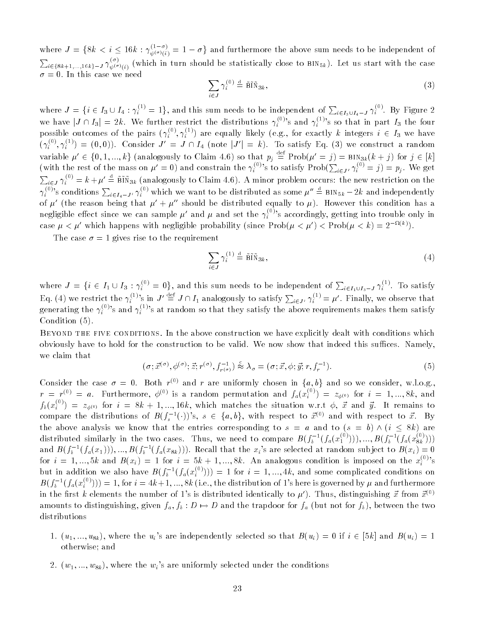where  $J = \{8k \le i \le 16k : \gamma_{\psi(\sigma)(i)} = 1 - \sigma\}$  and furthermore the above sum needs to be independent of  $\sum_{i\in\{8k+1,...,16k\}-J} \gamma_{\psi(\sigma)(i)}^{(0)}$  (which in turn should be statistically close to BIN<sub>5k</sub>). Let us start with the case  $\sigma = 0$ . In this case we need

$$
\sum_{i \in J} \gamma_i^{(0)} \stackrel{\text{d}}{=} \tilde{\operatorname{Bif}} \tilde{\operatorname{N}}_{3k},\tag{3}
$$

where  $J = \{i \in I_3 \cup I_4 : \gamma_i^{(1)} = 1\}$ , and this sum needs to be independent of  $\sum_{i \in I_3 \cup I_4 = J} \gamma_i^{(0)}$ . By Figure 2 we have  $|J \cap I_3| = 2k$ . We further restrict the distributions  $\gamma_i^{(0)}$ 's and  $\gamma_i^{(1)}$ 's so that in part  $I_3$  the four possible outcomes of the pairs  $(\gamma_i^{>,\gamma},\gamma_i^{,-\gamma})$  are equally likely (e.g., for exactly k integers  $i\in I_3$  we have  $(\gamma_i^{\gamma_i}, \gamma_i^{\gamma_i}) = (0,0)$ . Consider  $J' = J \cap I_4$  (note  $|J'| = k$ ). To satisfy Eq. (3) we construct a random variable  $\mu' \in \{0, 1, ..., k\}$  (analogously to Claim 4.6) so that  $p_i \equiv \text{Prob}(\mu' = j) = \text{BIN}_{3k}(k + j)$  for  $j \in [k]$ (with the rest of the mass on  $\mu' = 0$ ) and constrain the  $\gamma_i^{(0)}$ 's to satisfy  $\text{Prob}(\sum_{i \in J'} \gamma_i^{(0)} = j) = p_j$ . We get  $\sum_{i\in J}\gamma_i^{(0)}=k+\mu'\triangleq\widetilde{\mathtt{BIN}}_{3k}$  (analogously to Claim 4.6). A minor problem occurs: the new restriction on the  $\gamma_i^{(0)}$ 's conditions  $\sum_{i\in I_4-J'}\gamma_i^{(0)}$  which we want to be distributed as some  $\mu''\triangleq$  BIN<sub>5k</sub> – 2k and independently of  $\mu'$  (the reason being that  $\mu' + \mu''$  should be distributed equally to  $\mu$ ). However this condition has a negligible effect since we can sample  $\mu'$  and  $\mu$  and set the  $\gamma_i^{(0)}$ 's accordingly, getting into trouble only in case  $\mu < \mu$  which happens with heghgible probability (since Prob( $\mu < \mu$ )  $\lt$  Prob( $\mu < \kappa$ ) = 2 \*\*\*).

The case  $\sigma = 1$  gives rise to the requirement

$$
\sum_{i \in J} \gamma_i^{(1)} \stackrel{\text{d}}{=} \tilde{\text{B}} \tilde{\text{I}} \tilde{\text{N}}_{3k},\tag{4}
$$

where  $J = \{i \in I_1 \cup I_3 : \gamma_i^{\cup j} = 0\}$ , and this sum needs to be independent of  $\sum_{i \in I_1 \cup I_3 = J} \gamma_i^{\cup j}$ . To satisfy Eq. (4) we restrict the  $\gamma_i^{(1)}$ 's in  $J' \equiv J \cap I_1$  analogously to satisfy  $\sum_{i \in J'} \gamma_i^{(1)} = \mu'$ . Finally, we observe that generating the  $\gamma_i^{\otimes\prime}$ 's and  $\gamma_i^{\otimes\prime}$ 's at random so that they satisfy the above requirements makes them satisfy Condition  $(5)$ . Condition (5).

Beyond the five conditions. In the above construction we have explicitly dealt with conditions which obviously have to hold for the construction to be valid. We now show that indeed this suffices. Namely, we claim that

$$
(\sigma; \vec{x}^{(\sigma)}, \phi^{(\sigma)}; \vec{z}; r^{(\sigma)}, f_{r^{(\sigma)}}^{-1}) \stackrel{c}{\approx} \lambda_{\sigma} = (\sigma; \vec{x}, \phi; \vec{y}; r, f_{r}^{-1}). \tag{5}
$$

Consider the case  $o = 0$ . Both  $r \ge$  and r are uniformly chosen in  $\{a, b\}$  and so we consider, w.l.o.g.,  $r = r^{(0)} = a$ . Furthermore,  $\phi^{(0)}$  is a random permutation and  $f_a(x_i^{(0)}) = z_{\phi^{(0)}}$  for  $i = 1, ..., 8k$ , and  $f_b(x_i^{r}) = z_{\phi^{(0)}}$  for  $i = 8k+1,...,16k$ , which matches the situation w.r.t  $\phi, x$  and  $y$ . It remains to compare the distributions of  $B(f_s^{-1}(\cdot))$ 's,  $s \in \{a, b\}$ , with respect to  $\vec{x}^{(0)}$  and with respect to  $\vec{x}$ . By the above analysis we know that the entries corresponding to  $s = a$  and to  $(s = b) \wedge (i \leq 8k)$  are distributed similarly in the two cases. Thus, we need to compare  $B(f_b^{-1}(f_a(x_1^{i-j}))), ..., B(f_b^{-1}(f_a(x_{8k}^{i-j})))$ and  $B(f_b^{-1}(f_a(x_1))),...,B(f_b^{-1}(f_a(x_{sk})))$ . Recall that the  $x_i$ 's are selected at random subject to  $B(x_i)=0$ for  $i = 1, ..., 5k$  and  $B(x_i) = 1$  for  $i = 5k + 1, ..., 8k$ . An analogous condition is imposed on the  $x_i^{(0)}$ 's but in addition we also have  $B(f_b^{-1}(f_a(x_i^{r_j}))) = 1$  for  $i = 1, ..., 4k$ , and some complicated conditions on  $B(f_b^{-1}(f_a(x_i^{\omega}))))=1$ , for  $i=4k+1,...,8k$  (i.e., the distribution of 1's here is governed by  $\mu$  and furthermore in the first k elements the number of 1's is distributed identically to  $\mu'$ ). Thus, distinguishing  $\vec{x}$  from  $\vec{x}^{(0)}$ amounts to distinguishing, given  $f_a$ ,  $f_b : D \to D$  and the trapdoor for  $f_a$  (but not for  $f_b$ ), between the two distributions

- 1.  $(u_1, ..., u_{8k})$ , where the  $u_i$ 's are independently selected so that  $B(u_i) = 0$  if  $i \in [5k]$  and  $B(u_i) = 1$ otherwise; and
- 2.  $(w_1, ..., w_{8k})$ , where the  $w_i$ 's are uniformly selected under the conditions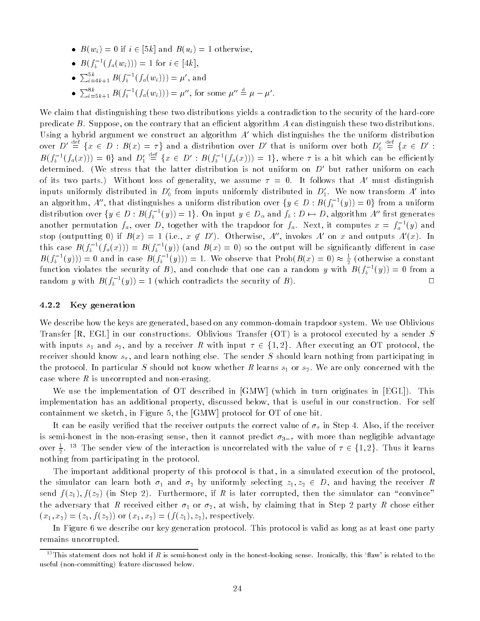- $B(w_i) = 0$  if  $i \in [5k]$  and  $B(u_i) = 1$  otherwise,
- $B(J_b^{-1}(J_a(w_i))) = 1$  for  $i \in [4k],$
- $\sum_{i=4k+1}^{3k} B(f_b^{-1}(f_a(w_i))) = \mu'$ , and
- $\sum_{i=5k+1}^{\infty} B(f_b^{-1}(f_a(w_i))) = \mu'',$  for some  $\mu'' = \mu \mu'.$

We claim that distinguishing these two distributions yields a contradiction to the security of the hard-core predicate  $B$ . Suppose, on the contrary that an efficient algorithm  $A$  can distinguish these two distributions. Using a hybrid argument we construct an algorithm  $A'$  which distinguishes the the uniform distribution over  $D' \equiv \{x \in D : B(x) = \tau\}$  and a distribution over D' that is uniform over both  $D'_0 \equiv \{x \in D':$  $B(f_b^{-1}(f_a(x))) = 0$  and  $D'_1 \equiv \{x \in D' : B(f_b^{-1}(f_a(x))) = 1\}$ , where  $\tau$  is a bit which can be efficiently determined. (We stress that the latter distribution is not uniform on  $D'$  but rather uniform on each of its two parts.) Without loss of generality, we assume  $\tau = 0$ . It follows that A' must distinguish inputs uniformly distributed in  $D_0'$  from inputs uniformly distributed in  $D_1'$ . We now transform A' into an algorithm,  $A^{\circ}$ , that distinguishes a uniform distribution over  $\{y\in D:$   $B(J_b^{-}(y))=0\}$  from a uniform distribution over  $\{y\in D: B(f_b^{-1}(y))=\bot\}$ . On input  $y\in D_\alpha$  and  $f_b:D\mapsto D,$  algorithm  $A^\alpha$  first generates another permutation  $f_a$ , over  $D$ , together with the trapdoor for  $f_a$ . Next, it computes  $x = f_a$  (y) and stop (outputting 0) if  $B(x) = 1$  (i.e.,  $x \notin D'$ ). Otherwise, A'', invokes A' on x and outputs A'(x). In this case  $B(f_b^{-1}(f_a(x)))=B(f_b^{-1}(y))$  (and  $B(x)=0$ ) so the output will be significantly different in case  $B(f_b^{-1}(y))) = 0$  and in case  $B(f_b^{-1}(y))) = 1$ . We observe that Prob( $B(x) = 0$ )  $\approx \frac{1}{2}$  (otherwise a constant function violates the security of  $B$  ), and conclude that one can a random  $y$  with  $B(f_b^{-1}(y))=0$  from a random y with  $B(f_b - (y)) = 1$  (which contradicts the security of B).

#### 4.2.2 Key generation

We describe how the keys are generated, based on any common-domain trapdoor system. We use Oblivious Transfer [R, EGL] in our constructions. Oblivious Transfer (OT) is a protocol executed by a sender S with inputs  $s_1$  and  $s_2$ , and by a receiver R with input  $\tau \in \{1, 2\}$ . After executing an OT protocol, the receiver should know  $s_{\tau}$ , and learn nothing else. The sender S should learn nothing from participating in the protocol. In particular S should not know whether R learns  $s_1$  or  $s_2$ . We are only concerned with the case where  $R$  is uncorrupted and non-erasing.

We use the implementation of OT described in [GMW] (which in turn originates in [EGL]). This implementation has an additional property, discussed below, that is useful in our construction. For self containment we sketch, in Figure 5, the [GMW] protocol for OT of one bit.

It can be easily verified that the receiver outputs the correct value of  $\sigma_{\tau}$  in Step 4. Also, if the receiver is semi-honest in the non-erasing sense, then it cannot predict  $\sigma_{3-\tau}$  with more than negligible advantage over  $\frac{1}{6}$ ,  $\frac{1}{6}$  I he sender view of the interaction is uncorrelated with the value of  $\tau \in \{1,2\}$ . Thus it learns nothing from participating in the protocol.

The important additional property of this protocol is that, in a simulated execution of the protocol, the simulator can learn both  $\sigma_1$  and  $\sigma_2$  by uniformly selecting  $z_1, z_2 \in D$ , and having the receiver R send  $f(z_1), f(z_2)$  (in Step 2). Furthermore, if R is later corrupted, then the simulator can "convince" the adversary that R received either  $\sigma_1$  or  $\sigma_2$ , at wish, by claiming that in Step 2 party R chose either  $(x_1, x_2)=(z_1, f(z_2))$  or  $(x_1, x_2)=(f(z_1), z_2)$ , respectively.

In Figure 6 we describe our key generation protocol. This protocol is valid as long as at least one party remains uncorrupted.

<sup>&</sup>lt;sup>13</sup>This statement does not hold if R is semi-honest only in the honest-looking sense. Ironically, this 'flaw' is related to the useful (non-committing) feature discussed below.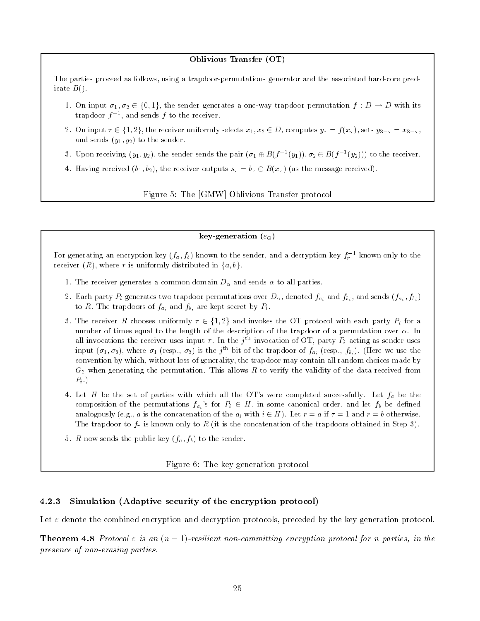#### Oblivious Transfer (OT)

The parties proceed as follows, using a trapdoor-permutations generator and the associated hard-core predicate  $B()$ .

- 1. On input  $\sigma_1, \sigma_2 \in \{0, 1\}$ , the sender generates a one-way trapdoor permutation  $f : D \to D$  with its trapdoor *f* = , and sends *f* to the receiver.
- 2. On input  $\tau \in \{1,2\}$ , the receiver uniformly selects  $x_1, x_2 \in D$ , computes  $y_\tau = f(x_\tau)$ , sets  $y_{3-\tau} = x_{3-\tau}$ , and sends  $(y_1, y_2)$  to the sender.
- 3. Upon receiving  $(y_1, y_2)$ , the sender sends the pair  $(\sigma_1 \oplus B(f^{-1}(y_1)), \sigma_2 \oplus B(f^{-1}(y_2)))$  to the receiver.
- 4. Having received  $(b_1, b_2)$ , the receiver outputs  $s_\tau = b_\tau \oplus B(x_\tau)$  (as the message received).

Figure 5: The [GMW] Oblivious Transfer protocol

### key-generation  $(\varepsilon_{\text{G}})$

For generating an encryption key  $(f_a, f_b)$  known to the sender, and a decryption key  $f_r$  - known only to the receiver  $(R)$ , where r is uniformly distributed in  $\{a, b\}$ .

- 1. The receiver generates a common domain  $D_{\alpha}$  and sends  $\alpha$  to all parties.
- 2. Each party  $P_i$  generates two trapdoor permutations over  $D_\alpha$ , denoted  $f_{a_i}$  and  $f_{b_i}$ , and sends  $(f_{a_i}, f_{b_i})$ to R. The trapdoors of  $f_{a_i}$  and  $f_{b_i}$  are kept secret by  $P_i$ .

3. The receiver R chooses uniformly  $\tau \in \{1,2\}$  and invokes the OT protocol with each party  $P_i$  for a number of times equal to the length of the description of the trapdoor of a permutation over  $\alpha$ . In all invocations the receiver uses input  $\tau$ . In the  $j$  m invocation of  $\cup$  i, party  $P_i$  acting as sender uses input  $(\sigma_1, \sigma_2)$ , where  $\sigma_1$  (resp.,  $\sigma_2$ ) is the j<sup>-1</sup> bit of the trapdoor of  $f_{a_i}$  (resp.,  $f_{b_i}$ ). (Here we use the convention by which, without loss of generality, the trapdoor may contain all random choices made by  $G_2$  when generating the permutation. This allows R to verify the validity of the data received from  $P_i$ .)

- 4. Let H be the set of parties with which all the OT's were completed successfully. Let  $f_a$  be the composition of the permutations  $f_{a_i}$ 's for  $P_i \in H$ , in some canonical order, and let  $f_b$  be defined analogously (e.g., a is the concatenation of the  $a_i$  with  $i \in H$ ). Let  $r = a$  if  $\tau = 1$  and  $r = b$  otherwise. The trapdoor to  $f_r$  is known only to R (it is the concatenation of the trapdoors obtained in Step 3).
- 5. R now sends the public key  $(f_a, f_b)$  to the sender.

Figure 6: The key generation protocol

### 4.2.3 Simulation (Adaptive security of the encryption protocol)

Let  $\varepsilon$  denote the combined encryption and decryption protocols, preceded by the key generation protocol.

**Theorem 4.8** Protocol  $\varepsilon$  is an  $(n - 1)$ -resilient non-committing encryption protocol for n parties, in the presence of non-erasing parties.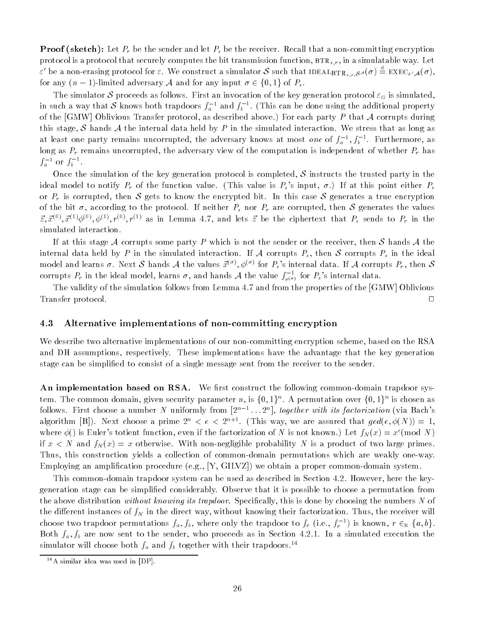**Proof (sketch):** Let  $P_r$  be the sender and let  $P_s$  be the receiver. Recall that a non-committing encryption protocol is a protocol that securely computes the bit transmission function,  $BTR_{s,r}$ , in a simulatable way. Let  $\varepsilon'$  be a non-erasing protocol for  $\varepsilon$ . We construct a simulator  ${\cal S}$  such that IDEAL $_{\rm BTR_{s,r},S}$ A( $\sigma) \doteq {\rm EXEC}_{\varepsilon',A}(\sigma),$ for any  $(n-1)$ -limited adversary A and for any input  $\sigma \in \{0, 1\}$  of  $P_s$ .

The simulator S proceeds as follows. First an invocation of the key generation protocol  $\varepsilon_{\rm G}$  is simulated, in such a way that  ${\cal S}$  knows both trapdoors  $f_a$   $\,$  and  $f_b$   $\,$  . (This can be done using the additional property of the [GMW] Oblivious Transfer protocol, as described above.) For each party P that A corrupts during this stage,  $S$  hands  $A$  the internal data held by  $P$  in the simulated interaction. We stress that as long as at least one party remains uncorrupted, the adversary knows at most *one* of  $J_a$   $^{\ast}, J_b$   $^{\ast}$  . Furthermore, as long as  $P_r$  remains uncorrupted, the adversary view of the computation is independent of whether  $P_r$  has  $f_a$  or  $f_b$ .

Once the simulation of the key generation protocol is completed,  $S$  instructs the trusted party in the ideal model to notify  $P_r$  of the function value. (This value is  $P_s$ 's input,  $\sigma$ .) If at this point either  $P_s$ or  $P_r$  is corrupted, then S gets to know the encrypted bit. In this case S generates a true encryption of the bit  $\sigma$ , according to the protocol. If neither  $P_s$  nor  $P_r$  are corrupted, then S generates the values  $\vec{z}, \vec{x}^{(0)}, \vec{x}^{(1)}\phi^{(0)}, \phi^{(1)}, r^{(0)}, r^{(1)}$  as in Lemma 4.7, and lets  $\vec{z}$  be the ciphertext that  $P_s$  sends to  $P_r$  in the simulated interaction.

If at this stage A corrupts some party P which is not the sender or the receiver, then S hands A the internal data held by P in the simulated interaction. If A corrupts  $P_s$ , then S corrupts  $P_s$  in the ideal model and learns  $\sigma$ . Next  $\cal S$  hands  $\cal A$  the values  $\vec x^{(\sigma)},\phi^{(\sigma)}$  for  $P_s$ 's internal data. If  $\cal A$  corrupts  $P_r$ , then  $\cal S$ corrupts  $P_r$  in the ideal model, learns  $\sigma,$  and hands  ${\cal A}$  the value  $f_{r^{(\sigma)}}^{-1}$  for  $P_s$ 's internal data.

The validity of the simulation follows from Lemma 4.7 and from the properties of the [GMW] Oblivious  $\Box$ Transfer protocol. <sup>2</sup>

### 4.3 Alternative implementations of non-committing encryption

We describe two alternative implementations of our non-committing encryption scheme, based on the RSA and DH assumptions, respectively. These implementations have the advantage that the key generation stage can be simplied to consist of a single message sent from the receiver to the sender.

An implementation based on RSA. We first construct the following common-domain trapdoor system. The common domain, given security parameter n, is  $\{0,1\}^+$ . A permutation over  $\{0,1\}^+$  is chosen as follows. First choose a number N uniformly from  $[2^{n-1} \dots 2^n]$ , together with its factorization (via Bach's algorithm [B]). Next choose a prime  $2^n < e < 2^{n+1}$ . (This way, we are assured that  $gcd(e, \phi(N)) = 1$ , where  $\phi$ () is Euler's totient function, even if the factorization of N is not known.) Let  $f_N(x) = x^e \pmod{N}$ if  $x < N$  and  $f_N(x) = x$  otherwise. With non-negligible probability N is a product of two large primes. Thus, this construction yields a collection of common-domain permutations which are weakly one-way. Employing an amplication procedure (e.g., [Y, GILVZ]) we obtain a proper common-domain system.

This common-domain trapdoor system can be used as described in Section 4.2. However, here the keygeneration stage can be simplied considerably. Observe that it is possible to choose a permutation from the above distribution *without knowing its trapdoor.* Specifically, this is done by choosing the numbers N of the different instances of  $f_N$  in the direct way, without knowing their factorization. Thus, the receiver will choose two trapdoor permutations  $f_a, f_b,$  where only the trapdoor to  $f_r$  (i.e.,  $f_r$  ) is known,  $r \in_{\mathbb R} \{a, v\}$ . Both  $f_a, f_b$  are now sent to the sender, who proceeds as in Section 4.2.1. In a simulated execution the simulator will choose both  $f_a$  and  $f_b$  together with their trapdoors.<sup>14</sup>

 $14A$  similar idea was used in [DP].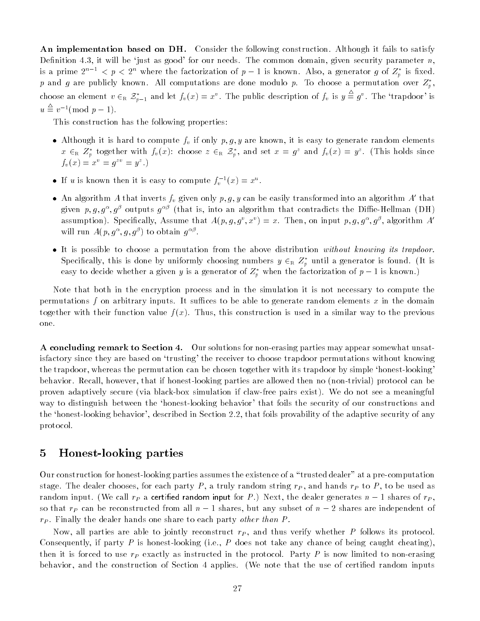An implementation based on DH. Consider the following construction. Although it fails to satisfy Definition 4.3, it will be 'just as good' for our needs. The common domain, given security parameter  $n$ , is a prime  $z^{n+1} < p < z^{n}$  where the factorization of  $p-1$  is known. Also, a generator  $g$  of  $z_p$  is fixed.  $p$  and  $g$  are publicly known. All computations are done modulo  $p$ . To choose a permutation over  $Z_p$  , choose an element  $v \in_R \mathcal{Z}_{n-1}^*$  and let  $f_v(x) = x^v$ . The public description of  $f_v$  is  $y \equiv g^v$ . The 'trapdoor' is  $u \equiv v^{-1} \pmod{p-1}$ .

This construction has the following properties:

- Although it is hard to compute  $f_v$  if only  $p, g, y$  are known, it is easy to generate random elements  $x \in_R Z_p$  together with  $f_v(x)$ : choose  $z \in_R z_p$ , and set  $x = g^x$  and  $f_v(x) = g^x$ . (This holds since  $f_v(x) = x^2 = g^{-1} = y^2.$
- If u is known then it is easy to compute  $f_v^{-1}(x) = x^{-}$ .
- An algorithm A that inverts  $f_v$  given only p, g, y can be easily transformed into an algorithm A' that given  $p, q, q^+, q^c$  outputs  $q^{++}$  (that is, into an algorithm that contradicts the Dillie-Hellman (DH) assumption). Specifically, Assume that  $A(p, q, q^*, x^*) = x$ . Then, on input  $p, q, q^*, q^*,$  algorithm  $A$ will full  $A(p, q^-, q, q^+)$  to obtain  $q^{-}$ .
- It is possible to choose a permutation from the above distribution without knowing its trapdoor. Specifically, this is done by uniformly choosing numbers  $y \in_{\text{R}} \mathcal{L}_v$  until a generator is found. (It is easy to decide whether a given y is a generator of  $Z_p$  when the factorization of  $p-1$  is known.)

Note that both in the encryption process and in the simulation it is not necessary to compute the permutations f on arbitrary inputs. It suffices to be able to generate random elements  $x$  in the domain together with their function value  $f(x)$ . Thus, this construction is used in a similar way to the previous one.

A concluding remark to Section 4. Our solutions for non-erasing parties may appear somewhat unsatisfactory since they are based on `trusting' the receiver to choose trapdoor permutations without knowing the trapdoor, whereas the permutation can be chosen together with its trapdoor by simple `honest-looking' behavior. Recall, however, that if honest-looking parties are allowed then no (non-trivial) protocol can be proven adaptively secure (via black-box simulation if claw-free pairs exist). We do not see a meaningful way to distinguish between the `honest-looking behavior' that foils the security of our constructions and the 'honest-looking behavior', described in Section 2.2, that foils provability of the adaptive security of any protocol.

#### 5Honest-looking parties

Our construction for honest-looking parties assumes the existence of a \trusted dealer" at a pre-computation stage. The dealer chooses, for each party P, a truly random string  $r_P$ , and hands  $r_P$  to P, to be used as random input. (We call  $r_P$  a certified random input for P.) Next, the dealer generates  $n-1$  shares of  $r_P$ , so that  $r_P$  can be reconstructed from all  $n-1$  shares, but any subset of  $n-2$  shares are independent of  $r_P$ . Finally the dealer hands one share to each party *other than P*.

Now, all parties are able to jointly reconstruct  $r<sub>P</sub>$ , and thus verify whether P follows its protocol. Consequently, if party  $P$  is honest-looking (i.e.,  $P$  does not take any chance of being caught cheating), then it is forced to use  $r_P$  exactly as instructed in the protocol. Party P is now limited to non-erasing behavior, and the construction of Section 4 applies. (We note that the use of certified random inputs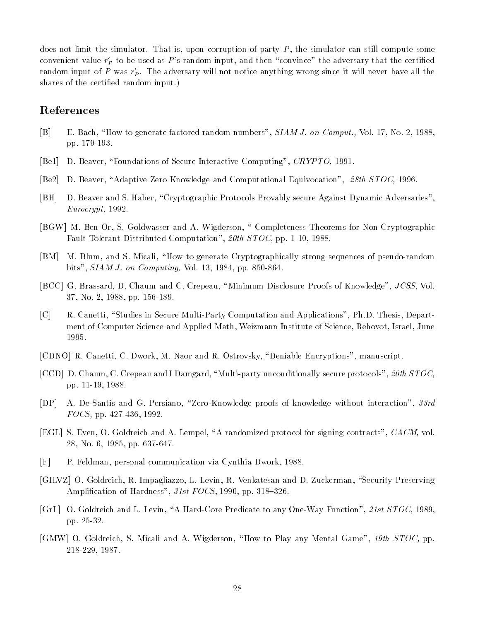does not limit the simulator. That is, upon corruption of party  $P$ , the simulator can still compute some convenient value  $r'_P$  to be used as  $P$ 's random input, and then "convince" the adversary that the certified random input of  $P$  was  $r_{P}$ . The adversary will not notice anything wrong since it will never have all the shares of the certified random input.)

## References

- [B] E. Bach, "How to generate factored random numbers", SIAM J. on Comput., Vol. 17, No. 2, 1988, pp. 179-193.
- $[Be1]$ D. Beaver, "Foundations of Secure Interactive Computing", CRYPTO, 1991.
- [Be2] D. Beaver, "Adaptive Zero Knowledge and Computational Equivocation", 28th STOC, 1996.
- [BH] D. Beaver and S. Haber, \Cryptographic Protocols Provably secure Against Dynamic Adversaries", Eurocrypt, 1992.
- [BGW] M. Ben-Or, S. Goldwasser and A. Wigderson, \ Completeness Theorems for Non-Cryptographic Fault-Tolerant Distributed Computation", 20th STOC, pp. 1-10, 1988.
- [BM] M. Blum, and S. Micali, "How to generate Cryptographically strong sequences of pseudo-random bits", SIAM J. on Computing, Vol. 13, 1984, pp. 850-864.
- [BCC] G. Brassard, D. Chaum and C. Crepeau, "Minimum Disclosure Proofs of Knowledge", JCSS, Vol. 37, No. 2, 1988, pp. 156-189.
- [C] R. Canetti, "Studies in Secure Multi-Party Computation and Applications", Ph.D. Thesis, Department of Computer Science and Applied Math, Weizmann Institute of Science, Rehovot, Israel, June 1995.
- [CDNO] R. Canetti, C. Dwork, M. Naor and R. Ostrovsky, "Deniable Encryptions", manuscript.
- [CCD] D. Chaum, C. Crepeau and I Damgard, "Multi-party unconditionally secure protocols", 20th STOC, pp. 11-19, 1988.
- [DP] A. De-Santis and G. Persiano, "Zero-Knowledge proofs of knowledge without interaction", 33rd FOCS, pp. 427-436, 1992.
- [EGL] S. Even, O. Goldreich and A. Lempel, "A randomized protocol for signing contracts", CACM, vol. 28, No. 6, 1985, pp. 637-647.
- [F] P. Feldman, personal communication via Cynthia Dwork, 1988.
- [GILVZ] O. Goldreich, R. Impagliazzo, L. Levin, R. Venkatesan and D. Zuckerman, "Security Preserving Amplification of Hardness",  $31st FOCS$ , 1990, pp. 318-326.
- [GrL] O. Goldreich and L. Levin, "A Hard-Core Predicate to any One-Way Function", 21st STOC, 1989. pp. 25-32.
- [GMW] O. Goldreich, S. Micali and A. Wigderson, "How to Play any Mental Game", 19th STOC, pp. 218-229, 1987.